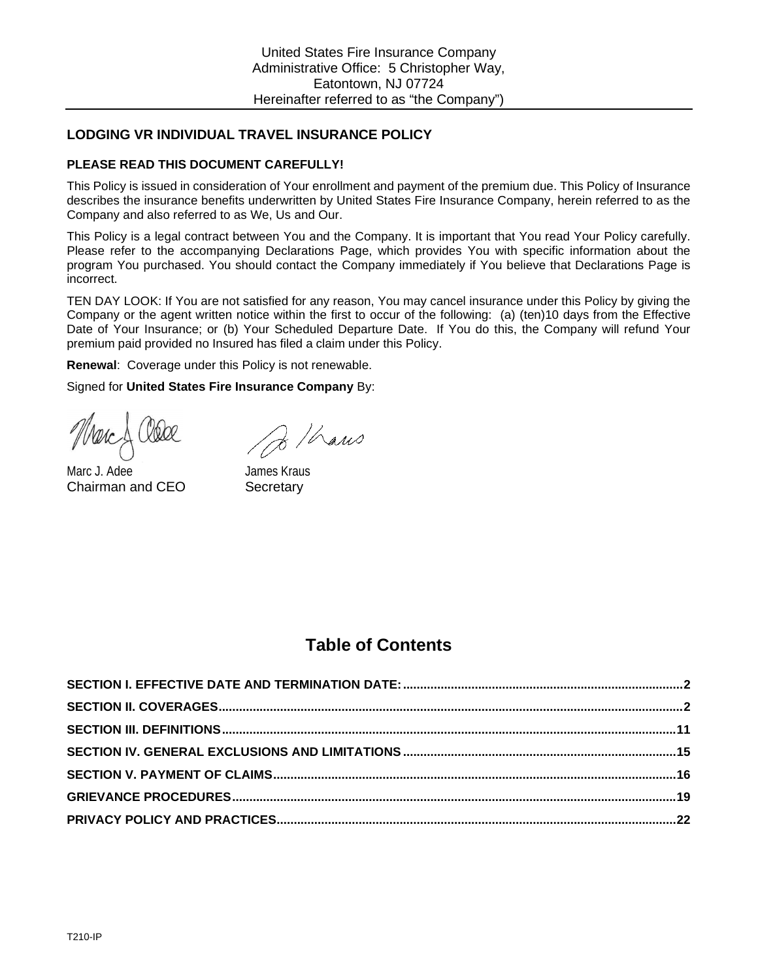# **LODGING VR INDIVIDUAL TRAVEL INSURANCE POLICY**

### **PLEASE READ THIS DOCUMENT CAREFULLY!**

This Policy is issued in consideration of Your enrollment and payment of the premium due. This Policy of Insurance describes the insurance benefits underwritten by United States Fire Insurance Company, herein referred to as the Company and also referred to as We, Us and Our.

This Policy is a legal contract between You and the Company. It is important that You read Your Policy carefully. Please refer to the accompanying Declarations Page, which provides You with specific information about the program You purchased. You should contact the Company immediately if You believe that Declarations Page is incorrect.

TEN DAY LOOK: If You are not satisfied for any reason, You may cancel insurance under this Policy by giving the Company or the agent written notice within the first to occur of the following: (a) (ten)10 days from the Effective Date of Your Insurance; or (b) Your Scheduled Departure Date. If You do this, the Company will refund Your premium paid provided no Insured has filed a claim under this Policy.

**Renewal**: Coverage under this Policy is not renewable.

Signed for **United States Fire Insurance Company** By:

 $\partial$  / hans

Marc J. Adee James Kraus Chairman and CEO Secretary

# **Table of Contents**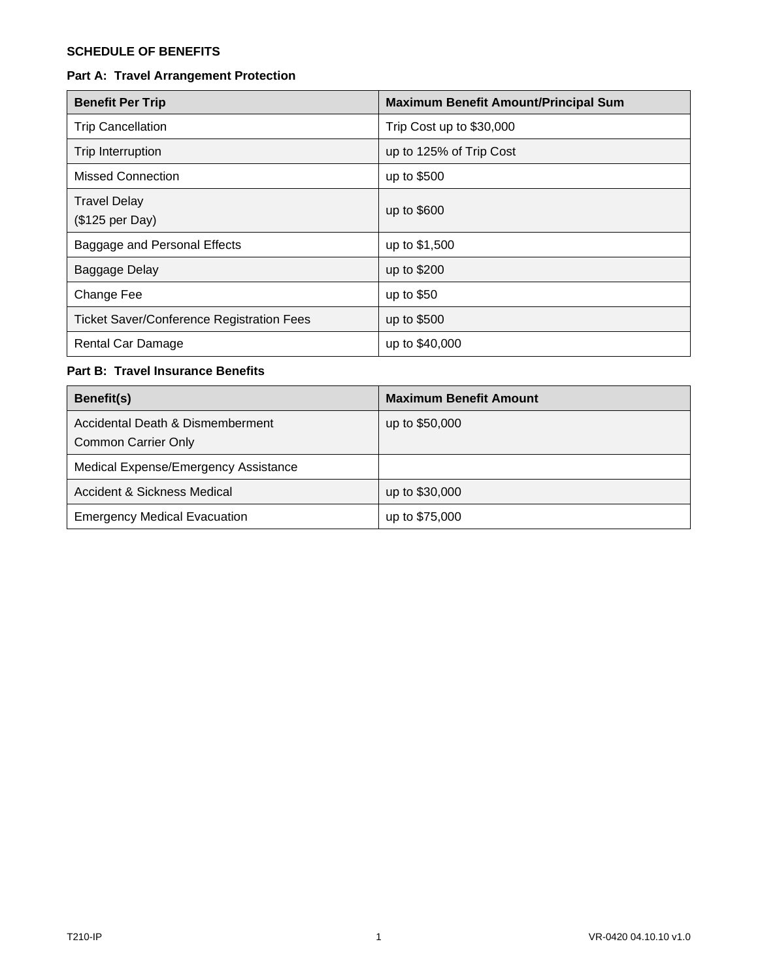# **SCHEDULE OF BENEFITS**

# **Part A: Travel Arrangement Protection**

| <b>Benefit Per Trip</b>                          | <b>Maximum Benefit Amount/Principal Sum</b> |
|--------------------------------------------------|---------------------------------------------|
| <b>Trip Cancellation</b>                         | Trip Cost up to \$30,000                    |
| Trip Interruption                                | up to 125% of Trip Cost                     |
| Missed Connection                                | up to \$500                                 |
| <b>Travel Delay</b><br>(\$125 per Day)           | up to \$600                                 |
| Baggage and Personal Effects                     | up to \$1,500                               |
| Baggage Delay                                    | up to \$200                                 |
| Change Fee                                       | up to $$50$                                 |
| <b>Ticket Saver/Conference Registration Fees</b> | up to \$500                                 |
| <b>Rental Car Damage</b>                         | up to \$40,000                              |

# **Part B: Travel Insurance Benefits**

| Benefit(s)                                                     | <b>Maximum Benefit Amount</b> |
|----------------------------------------------------------------|-------------------------------|
| Accidental Death & Dismemberment<br><b>Common Carrier Only</b> | up to \$50,000                |
| Medical Expense/Emergency Assistance                           |                               |
| Accident & Sickness Medical                                    | up to \$30,000                |
| <b>Emergency Medical Evacuation</b>                            | up to \$75,000                |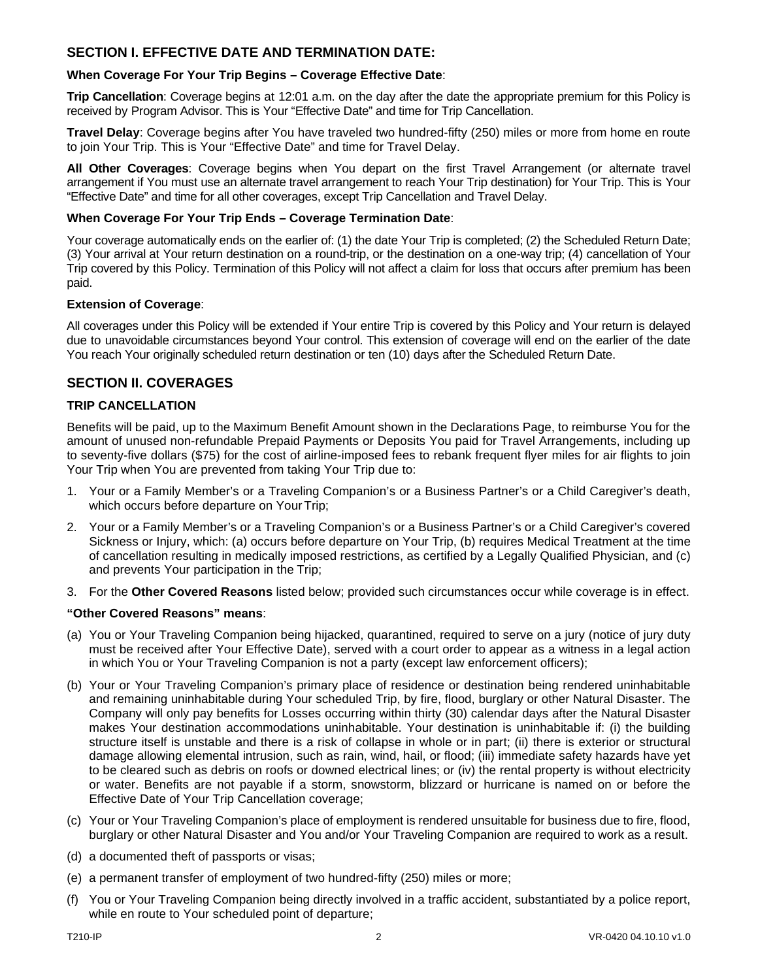# <span id="page-2-0"></span>**SECTION I. EFFECTIVE DATE AND TERMINATION DATE:**

### **When Coverage For Your Trip Begins – Coverage Effective Date**:

**Trip Cancellation**: Coverage begins at 12:01 a.m. on the day after the date the appropriate premium for this Policy is received by Program Advisor. This is Your "Effective Date" and time for Trip Cancellation.

**Travel Delay**: Coverage begins after You have traveled two hundred-fifty (250) miles or more from home en route to join Your Trip. This is Your "Effective Date" and time for Travel Delay.

**All Other Coverages**: Coverage begins when You depart on the first Travel Arrangement (or alternate travel arrangement if You must use an alternate travel arrangement to reach Your Trip destination) for Your Trip. This is Your "Effective Date" and time for all other coverages, except Trip Cancellation and Travel Delay.

#### **When Coverage For Your Trip Ends – Coverage Termination Date**:

Your coverage automatically ends on the earlier of: (1) the date Your Trip is completed; (2) the Scheduled Return Date; (3) Your arrival at Your return destination on a round-trip, or the destination on a one-way trip; (4) cancellation of Your Trip covered by this Policy. Termination of this Policy will not affect a claim for loss that occurs after premium has been paid.

#### **Extension of Coverage**:

All coverages under this Policy will be extended if Your entire Trip is covered by this Policy and Your return is delayed due to unavoidable circumstances beyond Your control. This extension of coverage will end on the earlier of the date You reach Your originally scheduled return destination or ten (10) days after the Scheduled Return Date.

### <span id="page-2-1"></span>**SECTION II. COVERAGES**

### **TRIP CANCELLATION**

Benefits will be paid, up to the Maximum Benefit Amount shown in the Declarations Page, to reimburse You for the amount of unused non-refundable Prepaid Payments or Deposits You paid for Travel Arrangements, including up to seventy-five dollars (\$75) for the cost of airline-imposed fees to rebank frequent flyer miles for air flights to join Your Trip when You are prevented from taking Your Trip due to:

- 1. Your or a Family Member's or a Traveling Companion's or a Business Partner's or a Child Caregiver's death, which occurs before departure on Your Trip;
- 2. Your or a Family Member's or a Traveling Companion's or a Business Partner's or a Child Caregiver's covered Sickness or Injury, which: (a) occurs before departure on Your Trip, (b) requires Medical Treatment at the time of cancellation resulting in medically imposed restrictions, as certified by a Legally Qualified Physician, and (c) and prevents Your participation in the Trip;
- 3. For the **Other Covered Reasons** listed below; provided such circumstances occur while coverage is in effect.

#### **"Other Covered Reasons" means**:

- (a) You or Your Traveling Companion being hijacked, quarantined, required to serve on a jury (notice of jury duty must be received after Your Effective Date), served with a court order to appear as a witness in a legal action in which You or Your Traveling Companion is not a party (except law enforcement officers);
- (b) Your or Your Traveling Companion's primary place of residence or destination being rendered uninhabitable and remaining uninhabitable during Your scheduled Trip, by fire, flood, burglary or other Natural Disaster. The Company will only pay benefits for Losses occurring within thirty (30) calendar days after the Natural Disaster makes Your destination accommodations uninhabitable. Your destination is uninhabitable if: (i) the building structure itself is unstable and there is a risk of collapse in whole or in part; (ii) there is exterior or structural damage allowing elemental intrusion, such as rain, wind, hail, or flood; (iii) immediate safety hazards have yet to be cleared such as debris on roofs or downed electrical lines; or (iv) the rental property is without electricity or water. Benefits are not payable if a storm, snowstorm, blizzard or hurricane is named on or before the Effective Date of Your Trip Cancellation coverage;
- (c) Your or Your Traveling Companion's place of employment is rendered unsuitable for business due to fire, flood, burglary or other Natural Disaster and You and/or Your Traveling Companion are required to work as a result.
- (d) a documented theft of passports or visas;
- (e) a permanent transfer of employment of two hundred-fifty (250) miles or more;
- (f) You or Your Traveling Companion being directly involved in a traffic accident, substantiated by a police report, while en route to Your scheduled point of departure;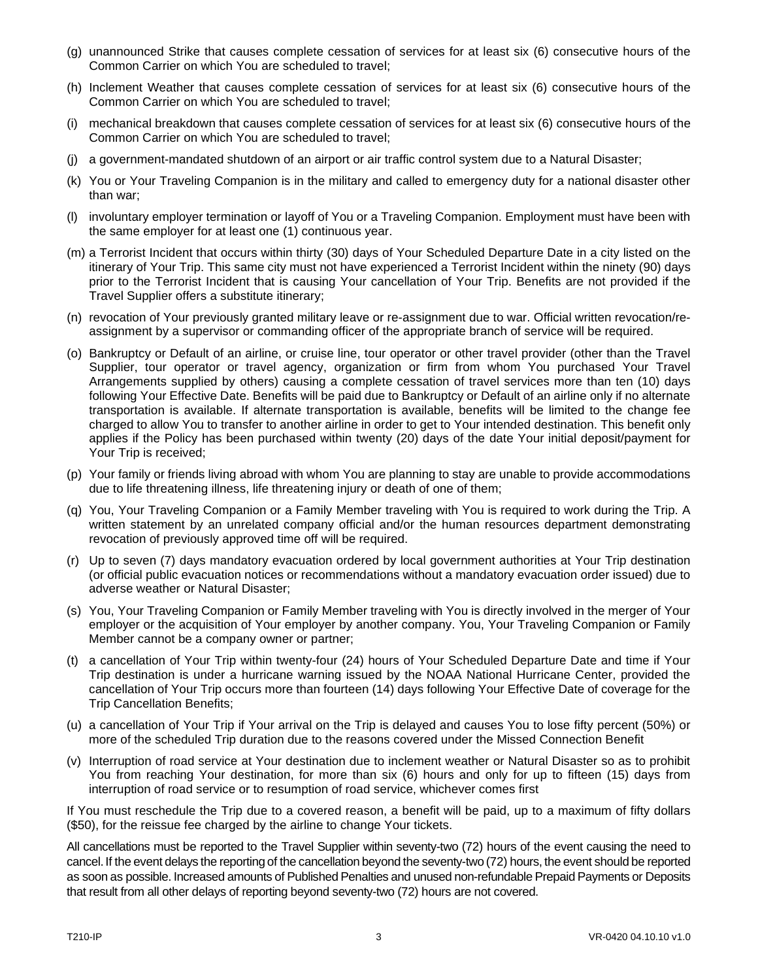- (g) unannounced Strike that causes complete cessation of services for at least six (6) consecutive hours of the Common Carrier on which You are scheduled to travel;
- (h) Inclement Weather that causes complete cessation of services for at least six (6) consecutive hours of the Common Carrier on which You are scheduled to travel;
- (i) mechanical breakdown that causes complete cessation of services for at least six (6) consecutive hours of the Common Carrier on which You are scheduled to travel;
- (j) a government-mandated shutdown of an airport or air traffic control system due to a Natural Disaster;
- (k) You or Your Traveling Companion is in the military and called to emergency duty for a national disaster other than war;
- (l) involuntary employer termination or layoff of You or a Traveling Companion. Employment must have been with the same employer for at least one (1) continuous year.
- (m) a Terrorist Incident that occurs within thirty (30) days of Your Scheduled Departure Date in a city listed on the itinerary of Your Trip. This same city must not have experienced a Terrorist Incident within the ninety (90) days prior to the Terrorist Incident that is causing Your cancellation of Your Trip. Benefits are not provided if the Travel Supplier offers a substitute itinerary;
- (n) revocation of Your previously granted military leave or re-assignment due to war. Official written revocation/reassignment by a supervisor or commanding officer of the appropriate branch of service will be required.
- (o) Bankruptcy or Default of an airline, or cruise line, tour operator or other travel provider (other than the Travel Supplier, tour operator or travel agency, organization or firm from whom You purchased Your Travel Arrangements supplied by others) causing a complete cessation of travel services more than ten (10) days following Your Effective Date. Benefits will be paid due to Bankruptcy or Default of an airline only if no alternate transportation is available. If alternate transportation is available, benefits will be limited to the change fee charged to allow You to transfer to another airline in order to get to Your intended destination. This benefit only applies if the Policy has been purchased within twenty (20) days of the date Your initial deposit/payment for Your Trip is received;
- (p) Your family or friends living abroad with whom You are planning to stay are unable to provide accommodations due to life threatening illness, life threatening injury or death of one of them;
- (q) You, Your Traveling Companion or a Family Member traveling with You is required to work during the Trip. A written statement by an unrelated company official and/or the human resources department demonstrating revocation of previously approved time off will be required.
- (r) Up to seven (7) days mandatory evacuation ordered by local government authorities at Your Trip destination (or official public evacuation notices or recommendations without a mandatory evacuation order issued) due to adverse weather or Natural Disaster;
- (s) You, Your Traveling Companion or Family Member traveling with You is directly involved in the merger of Your employer or the acquisition of Your employer by another company. You, Your Traveling Companion or Family Member cannot be a company owner or partner;
- (t) a cancellation of Your Trip within twenty-four (24) hours of Your Scheduled Departure Date and time if Your Trip destination is under a hurricane warning issued by the NOAA National Hurricane Center, provided the cancellation of Your Trip occurs more than fourteen (14) days following Your Effective Date of coverage for the Trip Cancellation Benefits;
- (u) a cancellation of Your Trip if Your arrival on the Trip is delayed and causes You to lose fifty percent (50%) or more of the scheduled Trip duration due to the reasons covered under the Missed Connection Benefit
- (v) Interruption of road service at Your destination due to inclement weather or Natural Disaster so as to prohibit You from reaching Your destination, for more than six (6) hours and only for up to fifteen (15) days from interruption of road service or to resumption of road service, whichever comes first

If You must reschedule the Trip due to a covered reason, a benefit will be paid, up to a maximum of fifty dollars (\$50), for the reissue fee charged by the airline to change Your tickets.

All cancellations must be reported to the Travel Supplier within seventy-two (72) hours of the event causing the need to cancel. If the event delays the reporting of the cancellation beyond the seventy-two (72) hours, the event should be reported as soon as possible. Increased amounts of Published Penalties and unused non-refundable Prepaid Payments or Deposits that result from all other delays of reporting beyond seventy-two (72) hours are not covered.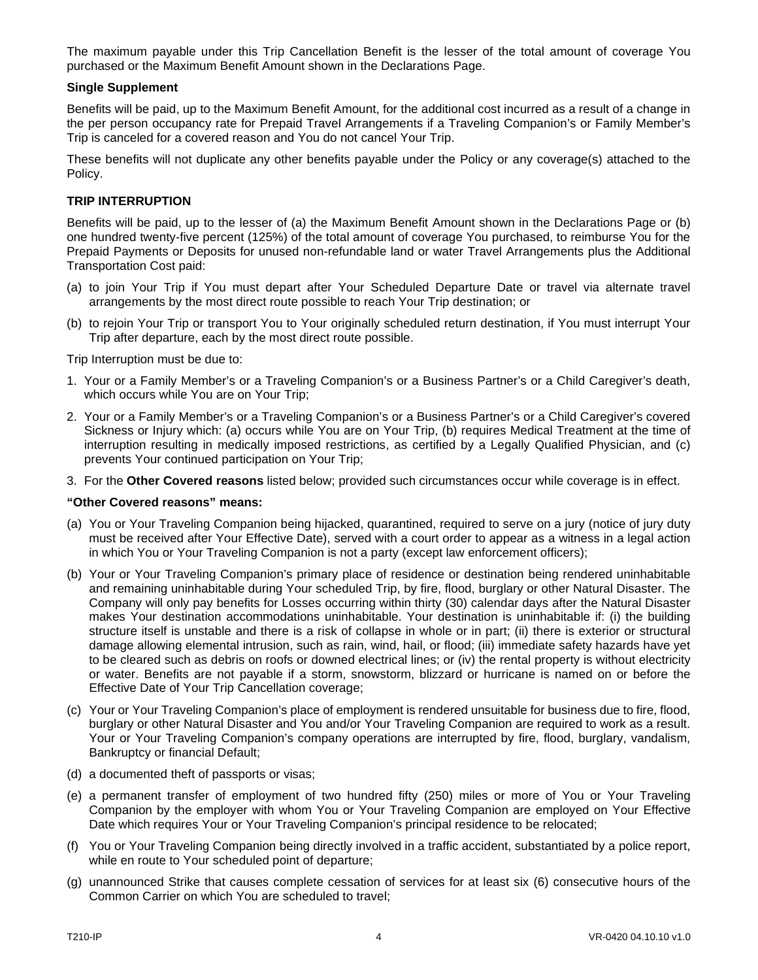The maximum payable under this Trip Cancellation Benefit is the lesser of the total amount of coverage You purchased or the Maximum Benefit Amount shown in the Declarations Page.

### **Single Supplement**

Benefits will be paid, up to the Maximum Benefit Amount, for the additional cost incurred as a result of a change in the per person occupancy rate for Prepaid Travel Arrangements if a Traveling Companion's or Family Member's Trip is canceled for a covered reason and You do not cancel Your Trip.

These benefits will not duplicate any other benefits payable under the Policy or any coverage(s) attached to the Policy.

### **TRIP INTERRUPTION**

Benefits will be paid, up to the lesser of (a) the Maximum Benefit Amount shown in the Declarations Page or (b) one hundred twenty-five percent (125%) of the total amount of coverage You purchased, to reimburse You for the Prepaid Payments or Deposits for unused non-refundable land or water Travel Arrangements plus the Additional Transportation Cost paid:

- (a) to join Your Trip if You must depart after Your Scheduled Departure Date or travel via alternate travel arrangements by the most direct route possible to reach Your Trip destination; or
- (b) to rejoin Your Trip or transport You to Your originally scheduled return destination, if You must interrupt Your Trip after departure, each by the most direct route possible.

Trip Interruption must be due to:

- 1. Your or a Family Member's or a Traveling Companion's or a Business Partner's or a Child Caregiver's death, which occurs while You are on Your Trip;
- 2. Your or a Family Member's or a Traveling Companion's or a Business Partner's or a Child Caregiver's covered Sickness or Injury which: (a) occurs while You are on Your Trip, (b) requires Medical Treatment at the time of interruption resulting in medically imposed restrictions, as certified by a Legally Qualified Physician, and (c) prevents Your continued participation on Your Trip;
- 3. For the **Other Covered reasons** listed below; provided such circumstances occur while coverage is in effect.

#### **"Other Covered reasons" means:**

- (a) You or Your Traveling Companion being hijacked, quarantined, required to serve on a jury (notice of jury duty must be received after Your Effective Date), served with a court order to appear as a witness in a legal action in which You or Your Traveling Companion is not a party (except law enforcement officers);
- (b) Your or Your Traveling Companion's primary place of residence or destination being rendered uninhabitable and remaining uninhabitable during Your scheduled Trip, by fire, flood, burglary or other Natural Disaster. The Company will only pay benefits for Losses occurring within thirty (30) calendar days after the Natural Disaster makes Your destination accommodations uninhabitable. Your destination is uninhabitable if: (i) the building structure itself is unstable and there is a risk of collapse in whole or in part; (ii) there is exterior or structural damage allowing elemental intrusion, such as rain, wind, hail, or flood; (iii) immediate safety hazards have yet to be cleared such as debris on roofs or downed electrical lines; or (iv) the rental property is without electricity or water. Benefits are not payable if a storm, snowstorm, blizzard or hurricane is named on or before the Effective Date of Your Trip Cancellation coverage;
- (c) Your or Your Traveling Companion's place of employment is rendered unsuitable for business due to fire, flood, burglary or other Natural Disaster and You and/or Your Traveling Companion are required to work as a result. Your or Your Traveling Companion's company operations are interrupted by fire, flood, burglary, vandalism, Bankruptcy or financial Default;
- (d) a documented theft of passports or visas;
- (e) a permanent transfer of employment of two hundred fifty (250) miles or more of You or Your Traveling Companion by the employer with whom You or Your Traveling Companion are employed on Your Effective Date which requires Your or Your Traveling Companion's principal residence to be relocated;
- (f) You or Your Traveling Companion being directly involved in a traffic accident, substantiated by a police report, while en route to Your scheduled point of departure;
- (g) unannounced Strike that causes complete cessation of services for at least six (6) consecutive hours of the Common Carrier on which You are scheduled to travel;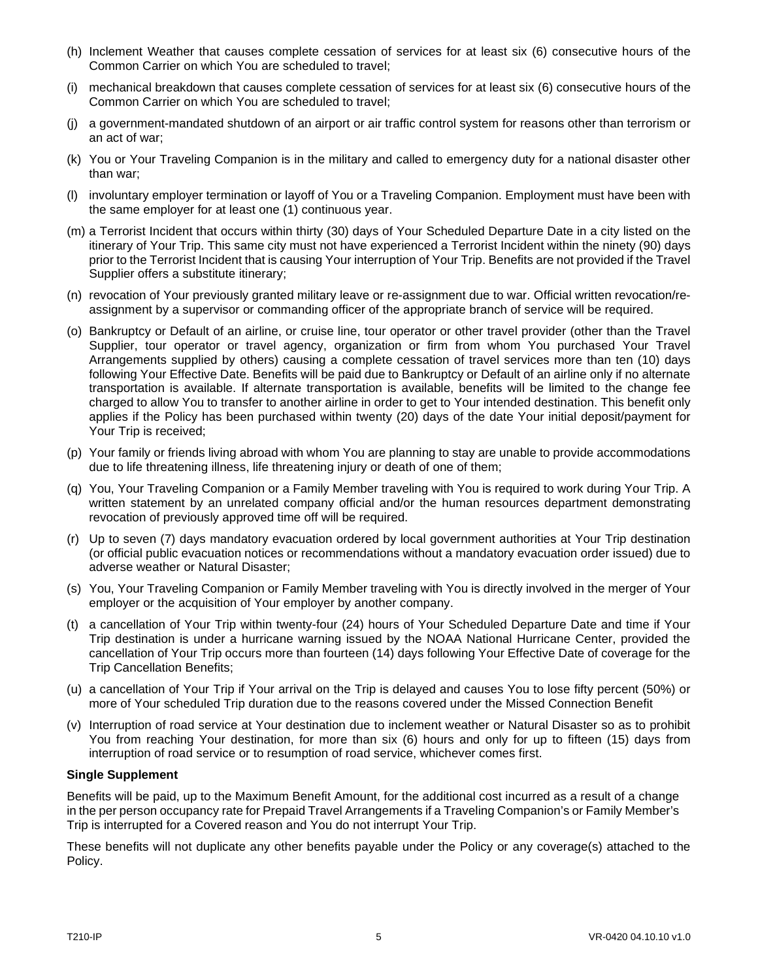- (h) Inclement Weather that causes complete cessation of services for at least six (6) consecutive hours of the Common Carrier on which You are scheduled to travel;
- (i) mechanical breakdown that causes complete cessation of services for at least six (6) consecutive hours of the Common Carrier on which You are scheduled to travel;
- (j) a government-mandated shutdown of an airport or air traffic control system for reasons other than terrorism or an act of war;
- (k) You or Your Traveling Companion is in the military and called to emergency duty for a national disaster other than war;
- (l) involuntary employer termination or layoff of You or a Traveling Companion. Employment must have been with the same employer for at least one (1) continuous year.
- (m) a Terrorist Incident that occurs within thirty (30) days of Your Scheduled Departure Date in a city listed on the itinerary of Your Trip. This same city must not have experienced a Terrorist Incident within the ninety (90) days prior to the Terrorist Incident that is causing Your interruption of Your Trip. Benefits are not provided if the Travel Supplier offers a substitute itinerary:
- (n) revocation of Your previously granted military leave or re-assignment due to war. Official written revocation/reassignment by a supervisor or commanding officer of the appropriate branch of service will be required.
- (o) Bankruptcy or Default of an airline, or cruise line, tour operator or other travel provider (other than the Travel Supplier, tour operator or travel agency, organization or firm from whom You purchased Your Travel Arrangements supplied by others) causing a complete cessation of travel services more than ten (10) days following Your Effective Date. Benefits will be paid due to Bankruptcy or Default of an airline only if no alternate transportation is available. If alternate transportation is available, benefits will be limited to the change fee charged to allow You to transfer to another airline in order to get to Your intended destination. This benefit only applies if the Policy has been purchased within twenty (20) days of the date Your initial deposit/payment for Your Trip is received;
- (p) Your family or friends living abroad with whom You are planning to stay are unable to provide accommodations due to life threatening illness, life threatening injury or death of one of them;
- (q) You, Your Traveling Companion or a Family Member traveling with You is required to work during Your Trip. A written statement by an unrelated company official and/or the human resources department demonstrating revocation of previously approved time off will be required.
- (r) Up to seven (7) days mandatory evacuation ordered by local government authorities at Your Trip destination (or official public evacuation notices or recommendations without a mandatory evacuation order issued) due to adverse weather or Natural Disaster;
- (s) You, Your Traveling Companion or Family Member traveling with You is directly involved in the merger of Your employer or the acquisition of Your employer by another company.
- (t) a cancellation of Your Trip within twenty-four (24) hours of Your Scheduled Departure Date and time if Your Trip destination is under a hurricane warning issued by the NOAA National Hurricane Center, provided the cancellation of Your Trip occurs more than fourteen (14) days following Your Effective Date of coverage for the Trip Cancellation Benefits;
- (u) a cancellation of Your Trip if Your arrival on the Trip is delayed and causes You to lose fifty percent (50%) or more of Your scheduled Trip duration due to the reasons covered under the Missed Connection Benefit
- (v) Interruption of road service at Your destination due to inclement weather or Natural Disaster so as to prohibit You from reaching Your destination, for more than six (6) hours and only for up to fifteen (15) days from interruption of road service or to resumption of road service, whichever comes first.

#### **Single Supplement**

Benefits will be paid, up to the Maximum Benefit Amount, for the additional cost incurred as a result of a change in the per person occupancy rate for Prepaid Travel Arrangements if a Traveling Companion's or Family Member's Trip is interrupted for a Covered reason and You do not interrupt Your Trip.

These benefits will not duplicate any other benefits payable under the Policy or any coverage(s) attached to the Policy.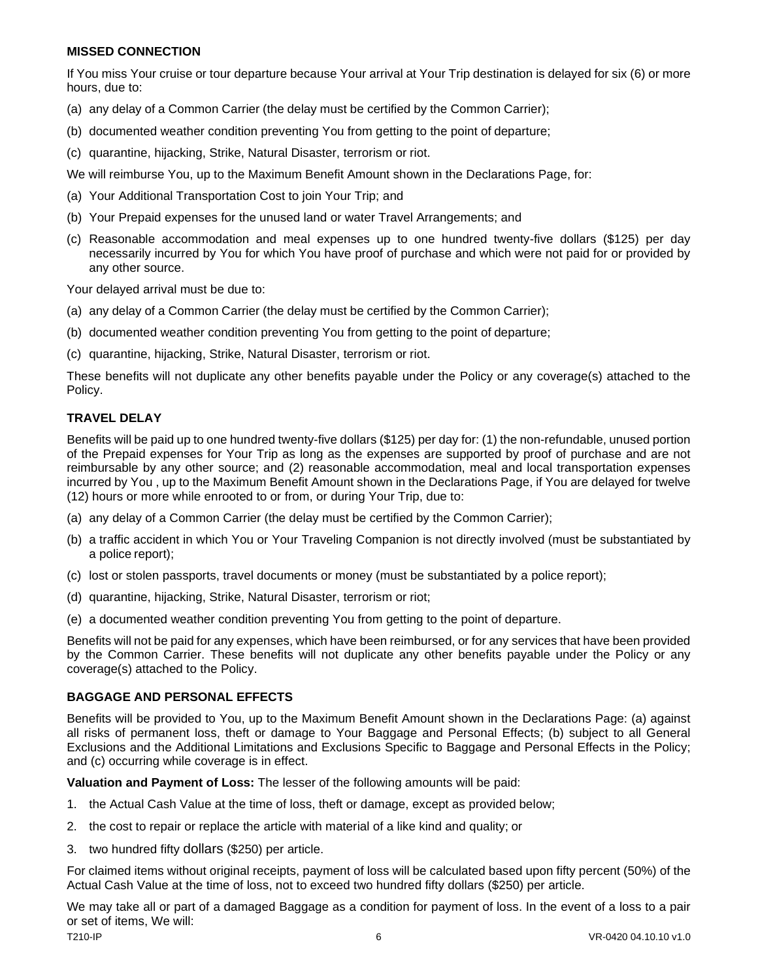#### **MISSED CONNECTION**

If You miss Your cruise or tour departure because Your arrival at Your Trip destination is delayed for six (6) or more hours, due to:

- (a) any delay of a Common Carrier (the delay must be certified by the Common Carrier);
- (b) documented weather condition preventing You from getting to the point of departure;
- (c) quarantine, hijacking, Strike, Natural Disaster, terrorism or riot.

We will reimburse You, up to the Maximum Benefit Amount shown in the Declarations Page, for:

- (a) Your Additional Transportation Cost to join Your Trip; and
- (b) Your Prepaid expenses for the unused land or water Travel Arrangements; and
- (c) Reasonable accommodation and meal expenses up to one hundred twenty-five dollars (\$125) per day necessarily incurred by You for which You have proof of purchase and which were not paid for or provided by any other source.

Your delayed arrival must be due to:

- (a) any delay of a Common Carrier (the delay must be certified by the Common Carrier);
- (b) documented weather condition preventing You from getting to the point of departure;
- (c) quarantine, hijacking, Strike, Natural Disaster, terrorism or riot.

These benefits will not duplicate any other benefits payable under the Policy or any coverage(s) attached to the Policy.

### **TRAVEL DELAY**

Benefits will be paid up to one hundred twenty-five dollars (\$125) per day for: (1) the non-refundable, unused portion of the Prepaid expenses for Your Trip as long as the expenses are supported by proof of purchase and are not reimbursable by any other source; and (2) reasonable accommodation, meal and local transportation expenses incurred by You , up to the Maximum Benefit Amount shown in the Declarations Page, if You are delayed for twelve (12) hours or more while enrooted to or from, or during Your Trip, due to:

- (a) any delay of a Common Carrier (the delay must be certified by the Common Carrier);
- (b) a traffic accident in which You or Your Traveling Companion is not directly involved (must be substantiated by a police report);
- (c) lost or stolen passports, travel documents or money (must be substantiated by a police report);
- (d) quarantine, hijacking, Strike, Natural Disaster, terrorism or riot;
- (e) a documented weather condition preventing You from getting to the point of departure.

Benefits will not be paid for any expenses, which have been reimbursed, or for any services that have been provided by the Common Carrier. These benefits will not duplicate any other benefits payable under the Policy or any coverage(s) attached to the Policy.

#### **BAGGAGE AND PERSONAL EFFECTS**

Benefits will be provided to You, up to the Maximum Benefit Amount shown in the Declarations Page: (a) against all risks of permanent loss, theft or damage to Your Baggage and Personal Effects; (b) subject to all General Exclusions and the Additional Limitations and Exclusions Specific to Baggage and Personal Effects in the Policy; and (c) occurring while coverage is in effect.

**Valuation and Payment of Loss:** The lesser of the following amounts will be paid:

- 1. the Actual Cash Value at the time of loss, theft or damage, except as provided below;
- 2. the cost to repair or replace the article with material of a like kind and quality; or
- 3. two hundred fifty dollars (\$250) per article.

For claimed items without original receipts, payment of loss will be calculated based upon fifty percent (50%) of the Actual Cash Value at the time of loss, not to exceed two hundred fifty dollars (\$250) per article.

We may take all or part of a damaged Baggage as a condition for payment of loss. In the event of a loss to a pair or set of items, We will: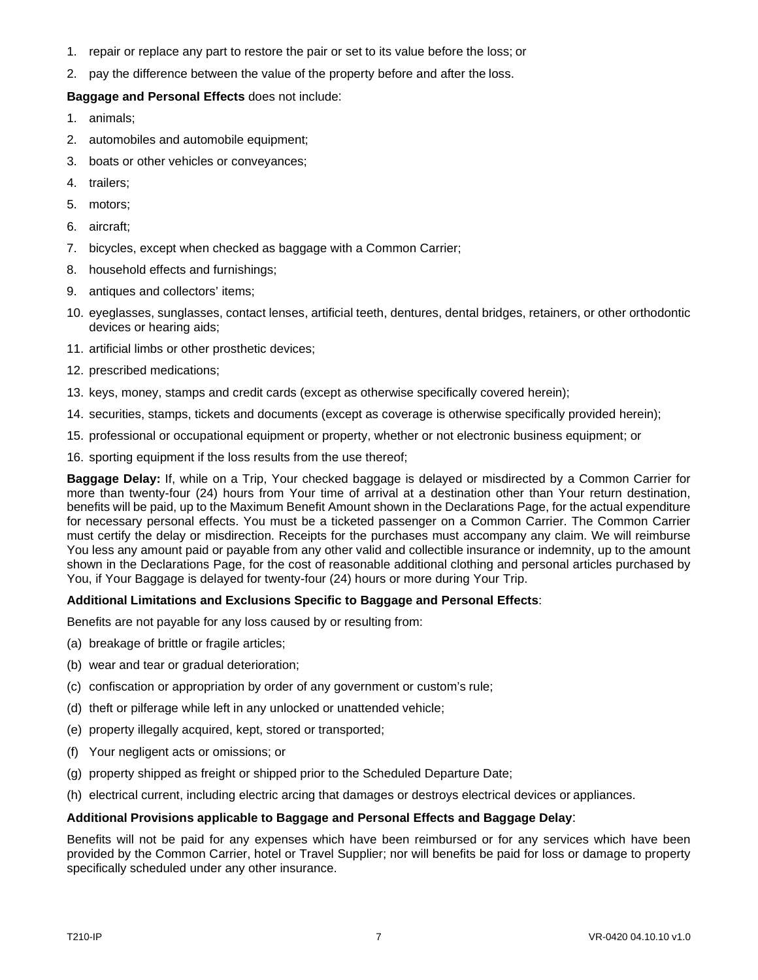- 1. repair or replace any part to restore the pair or set to its value before the loss; or
- 2. pay the difference between the value of the property before and after the loss.

### **Baggage and Personal Effects** does not include:

- 1. animals;
- 2. automobiles and automobile equipment;
- 3. boats or other vehicles or conveyances;
- 4. trailers;
- 5. motors;
- 6. aircraft;
- 7. bicycles, except when checked as baggage with a Common Carrier;
- 8. household effects and furnishings;
- 9. antiques and collectors' items;
- 10. eyeglasses, sunglasses, contact lenses, artificial teeth, dentures, dental bridges, retainers, or other orthodontic devices or hearing aids;
- 11. artificial limbs or other prosthetic devices;
- 12. prescribed medications;
- 13. keys, money, stamps and credit cards (except as otherwise specifically covered herein);
- 14. securities, stamps, tickets and documents (except as coverage is otherwise specifically provided herein);
- 15. professional or occupational equipment or property, whether or not electronic business equipment; or
- 16. sporting equipment if the loss results from the use thereof;

**Baggage Delay:** If, while on a Trip, Your checked baggage is delayed or misdirected by a Common Carrier for more than twenty-four (24) hours from Your time of arrival at a destination other than Your return destination, benefits will be paid, up to the Maximum Benefit Amount shown in the Declarations Page, for the actual expenditure for necessary personal effects. You must be a ticketed passenger on a Common Carrier. The Common Carrier must certify the delay or misdirection. Receipts for the purchases must accompany any claim. We will reimburse You less any amount paid or payable from any other valid and collectible insurance or indemnity, up to the amount shown in the Declarations Page, for the cost of reasonable additional clothing and personal articles purchased by You, if Your Baggage is delayed for twenty-four (24) hours or more during Your Trip.

#### **Additional Limitations and Exclusions Specific to Baggage and Personal Effects**:

Benefits are not payable for any loss caused by or resulting from:

- (a) breakage of brittle or fragile articles;
- (b) wear and tear or gradual deterioration;
- (c) confiscation or appropriation by order of any government or custom's rule;
- (d) theft or pilferage while left in any unlocked or unattended vehicle;
- (e) property illegally acquired, kept, stored or transported;
- (f) Your negligent acts or omissions; or
- (g) property shipped as freight or shipped prior to the Scheduled Departure Date;
- (h) electrical current, including electric arcing that damages or destroys electrical devices or appliances.

#### **Additional Provisions applicable to Baggage and Personal Effects and Baggage Delay**:

Benefits will not be paid for any expenses which have been reimbursed or for any services which have been provided by the Common Carrier, hotel or Travel Supplier; nor will benefits be paid for loss or damage to property specifically scheduled under any other insurance.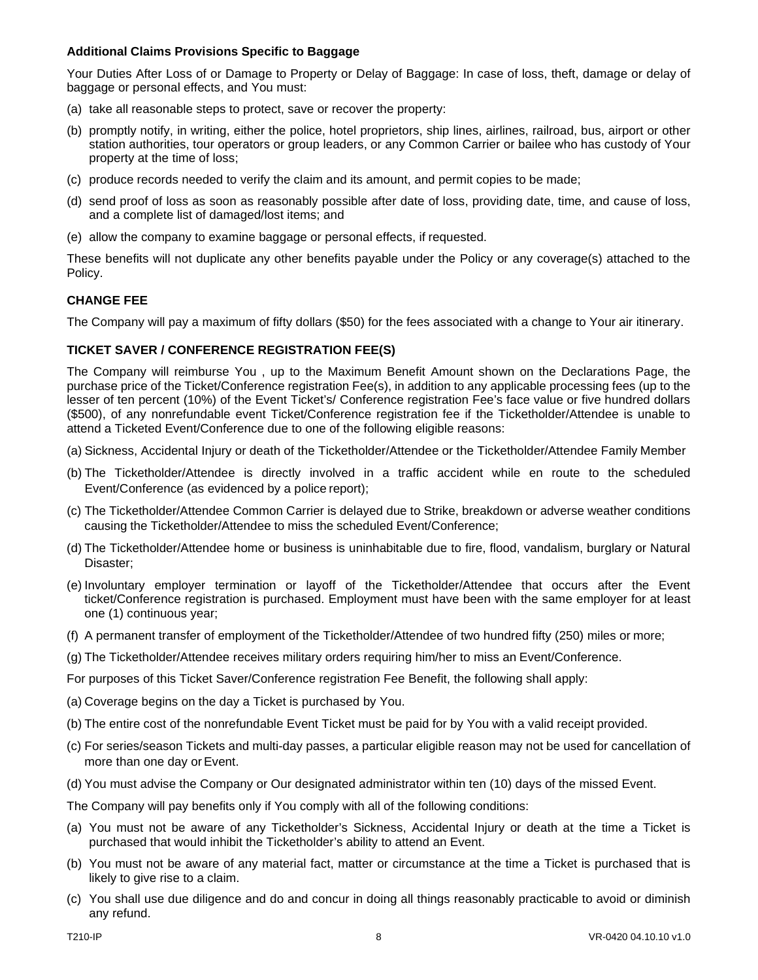### **Additional Claims Provisions Specific to Baggage**

Your Duties After Loss of or Damage to Property or Delay of Baggage: In case of loss, theft, damage or delay of baggage or personal effects, and You must:

- (a) take all reasonable steps to protect, save or recover the property:
- (b) promptly notify, in writing, either the police, hotel proprietors, ship lines, airlines, railroad, bus, airport or other station authorities, tour operators or group leaders, or any Common Carrier or bailee who has custody of Your property at the time of loss;
- (c) produce records needed to verify the claim and its amount, and permit copies to be made;
- (d) send proof of loss as soon as reasonably possible after date of loss, providing date, time, and cause of loss, and a complete list of damaged/lost items; and
- (e) allow the company to examine baggage or personal effects, if requested.

These benefits will not duplicate any other benefits payable under the Policy or any coverage(s) attached to the Policy.

### **CHANGE FEE**

The Company will pay a maximum of fifty dollars (\$50) for the fees associated with a change to Your air itinerary.

### **TICKET SAVER / CONFERENCE REGISTRATION FEE(S)**

The Company will reimburse You , up to the Maximum Benefit Amount shown on the Declarations Page, the purchase price of the Ticket/Conference registration Fee(s), in addition to any applicable processing fees (up to the lesser of ten percent (10%) of the Event Ticket's/ Conference registration Fee's face value or five hundred dollars (\$500), of any nonrefundable event Ticket/Conference registration fee if the Ticketholder/Attendee is unable to attend a Ticketed Event/Conference due to one of the following eligible reasons:

- (a) Sickness, Accidental Injury or death of the Ticketholder/Attendee or the Ticketholder/Attendee Family Member
- (b) The Ticketholder/Attendee is directly involved in a traffic accident while en route to the scheduled Event/Conference (as evidenced by a police report);
- (c) The Ticketholder/Attendee Common Carrier is delayed due to Strike, breakdown or adverse weather conditions causing the Ticketholder/Attendee to miss the scheduled Event/Conference;
- (d) The Ticketholder/Attendee home or business is uninhabitable due to fire, flood, vandalism, burglary or Natural Disaster;
- (e) Involuntary employer termination or layoff of the Ticketholder/Attendee that occurs after the Event ticket/Conference registration is purchased. Employment must have been with the same employer for at least one (1) continuous year;
- (f) A permanent transfer of employment of the Ticketholder/Attendee of two hundred fifty (250) miles or more;
- (g) The Ticketholder/Attendee receives military orders requiring him/her to miss an Event/Conference.

For purposes of this Ticket Saver/Conference registration Fee Benefit, the following shall apply:

- (a) Coverage begins on the day a Ticket is purchased by You.
- (b) The entire cost of the nonrefundable Event Ticket must be paid for by You with a valid receipt provided.
- (c) For series/season Tickets and multi-day passes, a particular eligible reason may not be used for cancellation of more than one day or Event.
- (d) You must advise the Company or Our designated administrator within ten (10) days of the missed Event.

The Company will pay benefits only if You comply with all of the following conditions:

- (a) You must not be aware of any Ticketholder's Sickness, Accidental Injury or death at the time a Ticket is purchased that would inhibit the Ticketholder's ability to attend an Event.
- (b) You must not be aware of any material fact, matter or circumstance at the time a Ticket is purchased that is likely to give rise to a claim.
- (c) You shall use due diligence and do and concur in doing all things reasonably practicable to avoid or diminish any refund.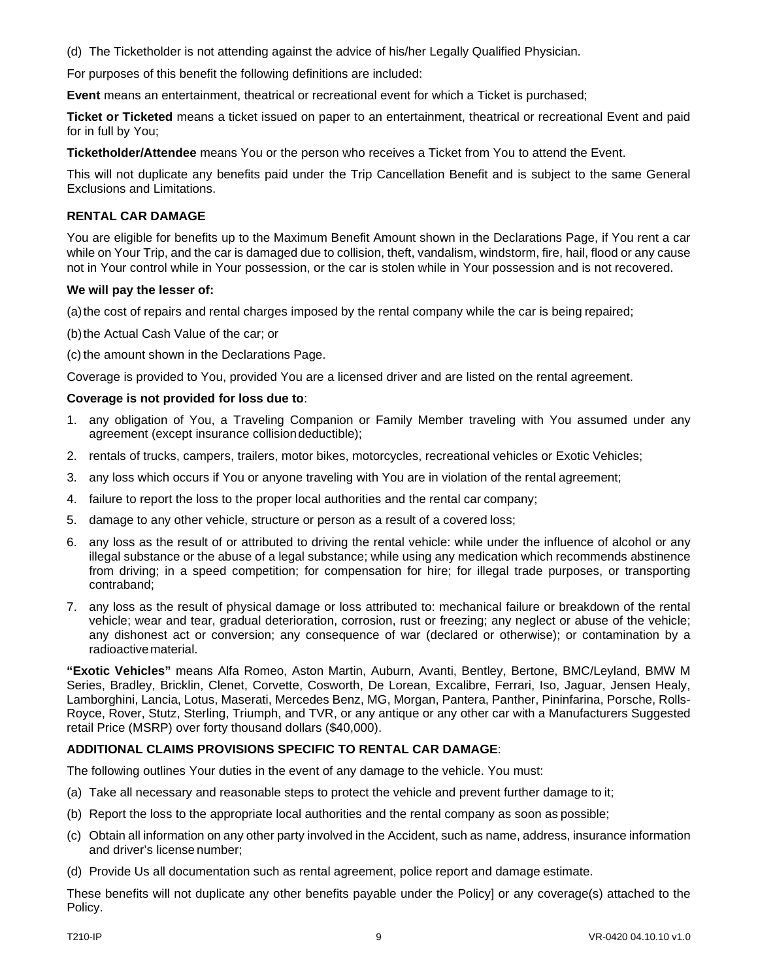(d) The Ticketholder is not attending against the advice of his/her Legally Qualified Physician.

For purposes of this benefit the following definitions are included:

**Event** means an entertainment, theatrical or recreational event for which a Ticket is purchased;

**Ticket or Ticketed** means a ticket issued on paper to an entertainment, theatrical or recreational Event and paid for in full by You;

**Ticketholder/Attendee** means You or the person who receives a Ticket from You to attend the Event.

This will not duplicate any benefits paid under the Trip Cancellation Benefit and is subject to the same General Exclusions and Limitations.

### **RENTAL CAR DAMAGE**

You are eligible for benefits up to the Maximum Benefit Amount shown in the Declarations Page, if You rent a car while on Your Trip, and the car is damaged due to collision, theft, vandalism, windstorm, fire, hail, flood or any cause not in Your control while in Your possession, or the car is stolen while in Your possession and is not recovered.

### **We will pay the lesser of:**

(a)the cost of repairs and rental charges imposed by the rental company while the car is being repaired;

(b) the Actual Cash Value of the car; or

(c) the amount shown in the Declarations Page.

Coverage is provided to You, provided You are a licensed driver and are listed on the rental agreement.

### **Coverage is not provided for loss due to**:

- 1. any obligation of You, a Traveling Companion or Family Member traveling with You assumed under any agreement (except insurance collisiondeductible);
- 2. rentals of trucks, campers, trailers, motor bikes, motorcycles, recreational vehicles or Exotic Vehicles;
- 3. any loss which occurs if You or anyone traveling with You are in violation of the rental agreement;
- 4. failure to report the loss to the proper local authorities and the rental car company;
- 5. damage to any other vehicle, structure or person as a result of a covered loss;
- 6. any loss as the result of or attributed to driving the rental vehicle: while under the influence of alcohol or any illegal substance or the abuse of a legal substance; while using any medication which recommends abstinence from driving; in a speed competition; for compensation for hire; for illegal trade purposes, or transporting contraband;
- 7. any loss as the result of physical damage or loss attributed to: mechanical failure or breakdown of the rental vehicle; wear and tear, gradual deterioration, corrosion, rust or freezing; any neglect or abuse of the vehicle; any dishonest act or conversion; any consequence of war (declared or otherwise); or contamination by a radioactivematerial.

**"Exotic Vehicles"** means Alfa Romeo, Aston Martin, Auburn, Avanti, Bentley, Bertone, BMC/Leyland, BMW M Series, Bradley, Bricklin, Clenet, Corvette, Cosworth, De Lorean, Excalibre, Ferrari, Iso, Jaguar, Jensen Healy, Lamborghini, Lancia, Lotus, Maserati, Mercedes Benz, MG, Morgan, Pantera, Panther, Pininfarina, Porsche, Rolls-Royce, Rover, Stutz, Sterling, Triumph, and TVR, or any antique or any other car with a Manufacturers Suggested retail Price (MSRP) over forty thousand dollars (\$40,000).

### **ADDITIONAL CLAIMS PROVISIONS SPECIFIC TO RENTAL CAR DAMAGE**:

The following outlines Your duties in the event of any damage to the vehicle. You must:

- (a) Take all necessary and reasonable steps to protect the vehicle and prevent further damage to it;
- (b) Report the loss to the appropriate local authorities and the rental company as soon as possible;
- (c) Obtain all information on any other party involved in the Accident, such as name, address, insurance information and driver's license number;
- (d) Provide Us all documentation such as rental agreement, police report and damage estimate.

These benefits will not duplicate any other benefits payable under the Policy] or any coverage(s) attached to the Policy.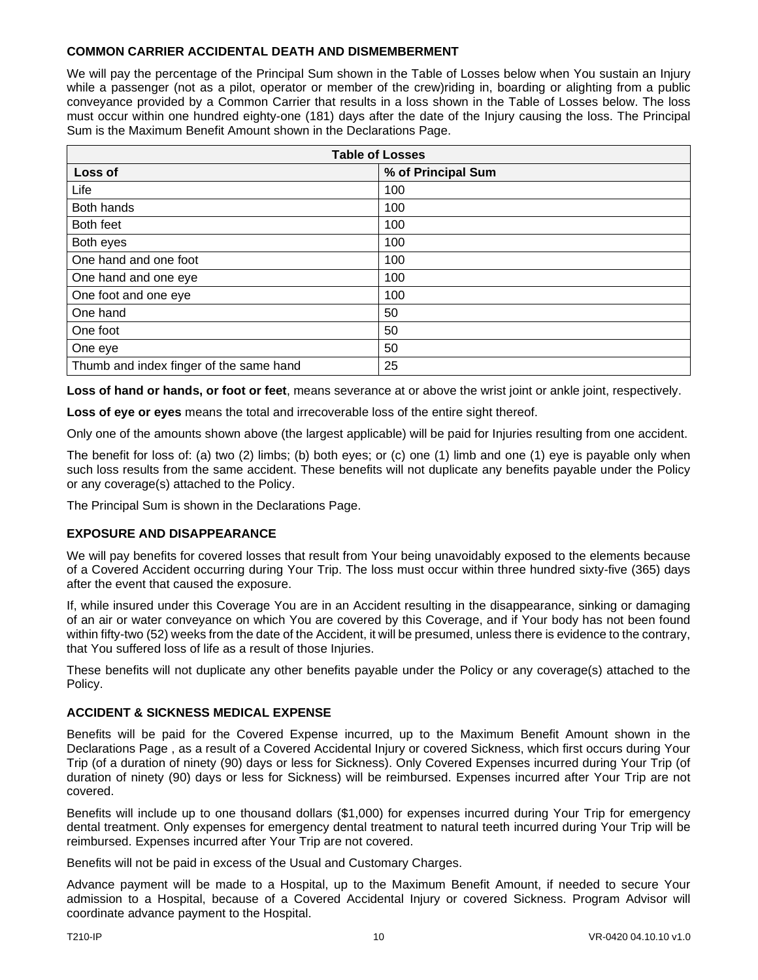### **COMMON CARRIER ACCIDENTAL DEATH AND DISMEMBERMENT**

We will pay the percentage of the Principal Sum shown in the Table of Losses below when You sustain an Injury while a passenger (not as a pilot, operator or member of the crew)riding in, boarding or alighting from a public conveyance provided by a Common Carrier that results in a loss shown in the Table of Losses below. The loss must occur within one hundred eighty-one (181) days after the date of the Injury causing the loss. The Principal Sum is the Maximum Benefit Amount shown in the Declarations Page.

| <b>Table of Losses</b>                  |                    |  |
|-----------------------------------------|--------------------|--|
| Loss of                                 | % of Principal Sum |  |
| Life                                    | 100                |  |
| Both hands                              | 100                |  |
| Both feet                               | 100                |  |
| Both eyes                               | 100                |  |
| One hand and one foot                   | 100                |  |
| One hand and one eye                    | 100                |  |
| One foot and one eye                    | 100                |  |
| One hand                                | 50                 |  |
| One foot                                | 50                 |  |
| One eye                                 | 50                 |  |
| Thumb and index finger of the same hand | 25                 |  |

**Loss of hand or hands, or foot or feet**, means severance at or above the wrist joint or ankle joint, respectively.

**Loss of eye or eyes** means the total and irrecoverable loss of the entire sight thereof.

Only one of the amounts shown above (the largest applicable) will be paid for Injuries resulting from one accident.

The benefit for loss of: (a) two (2) limbs; (b) both eyes; or (c) one (1) limb and one (1) eye is payable only when such loss results from the same accident. These benefits will not duplicate any benefits payable under the Policy or any coverage(s) attached to the Policy.

The Principal Sum is shown in the Declarations Page.

### **EXPOSURE AND DISAPPEARANCE**

We will pay benefits for covered losses that result from Your being unavoidably exposed to the elements because of a Covered Accident occurring during Your Trip. The loss must occur within three hundred sixty-five (365) days after the event that caused the exposure.

If, while insured under this Coverage You are in an Accident resulting in the disappearance, sinking or damaging of an air or water conveyance on which You are covered by this Coverage, and if Your body has not been found within fifty-two (52) weeks from the date of the Accident, it will be presumed, unless there is evidence to the contrary, that You suffered loss of life as a result of those Injuries.

These benefits will not duplicate any other benefits payable under the Policy or any coverage(s) attached to the Policy.

### **ACCIDENT & SICKNESS MEDICAL EXPENSE**

Benefits will be paid for the Covered Expense incurred, up to the Maximum Benefit Amount shown in the Declarations Page , as a result of a Covered Accidental Injury or covered Sickness, which first occurs during Your Trip (of a duration of ninety (90) days or less for Sickness). Only Covered Expenses incurred during Your Trip (of duration of ninety (90) days or less for Sickness) will be reimbursed. Expenses incurred after Your Trip are not covered.

Benefits will include up to one thousand dollars (\$1,000) for expenses incurred during Your Trip for emergency dental treatment. Only expenses for emergency dental treatment to natural teeth incurred during Your Trip will be reimbursed. Expenses incurred after Your Trip are not covered.

Benefits will not be paid in excess of the Usual and Customary Charges.

Advance payment will be made to a Hospital, up to the Maximum Benefit Amount, if needed to secure Your admission to a Hospital, because of a Covered Accidental Injury or covered Sickness. Program Advisor will coordinate advance payment to the Hospital.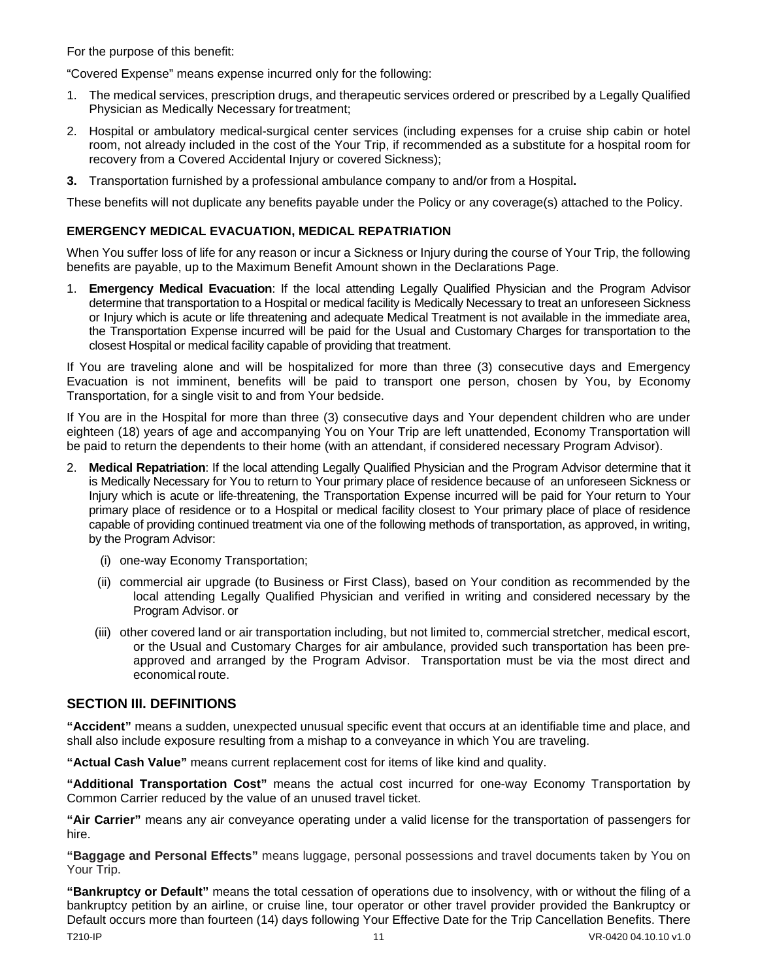For the purpose of this benefit:

"Covered Expense" means expense incurred only for the following:

- 1. The medical services, prescription drugs, and therapeutic services ordered or prescribed by a Legally Qualified Physician as Medically Necessary for treatment;
- 2. Hospital or ambulatory medical-surgical center services (including expenses for a cruise ship cabin or hotel room, not already included in the cost of the Your Trip, if recommended as a substitute for a hospital room for recovery from a Covered Accidental Injury or covered Sickness);
- **3.** Transportation furnished by a professional ambulance company to and/or from a Hospital**.**

These benefits will not duplicate any benefits payable under the Policy or any coverage(s) attached to the Policy.

# **EMERGENCY MEDICAL EVACUATION, MEDICAL REPATRIATION**

When You suffer loss of life for any reason or incur a Sickness or Injury during the course of Your Trip, the following benefits are payable, up to the Maximum Benefit Amount shown in the Declarations Page.

1. **Emergency Medical Evacuation**: If the local attending Legally Qualified Physician and the Program Advisor determine that transportation to a Hospital or medical facility is Medically Necessary to treat an unforeseen Sickness or Injury which is acute or life threatening and adequate Medical Treatment is not available in the immediate area, the Transportation Expense incurred will be paid for the Usual and Customary Charges for transportation to the closest Hospital or medical facility capable of providing that treatment.

If You are traveling alone and will be hospitalized for more than three (3) consecutive days and Emergency Evacuation is not imminent, benefits will be paid to transport one person, chosen by You, by Economy Transportation, for a single visit to and from Your bedside.

If You are in the Hospital for more than three (3) consecutive days and Your dependent children who are under eighteen (18) years of age and accompanying You on Your Trip are left unattended, Economy Transportation will be paid to return the dependents to their home (with an attendant, if considered necessary Program Advisor).

- 2. **Medical Repatriation**: If the local attending Legally Qualified Physician and the Program Advisor determine that it is Medically Necessary for You to return to Your primary place of residence because of an unforeseen Sickness or Injury which is acute or life-threatening, the Transportation Expense incurred will be paid for Your return to Your primary place of residence or to a Hospital or medical facility closest to Your primary place of place of residence capable of providing continued treatment via one of the following methods of transportation, as approved, in writing, by the Program Advisor:
	- (i) one-way Economy Transportation;
	- (ii) commercial air upgrade (to Business or First Class), based on Your condition as recommended by the local attending Legally Qualified Physician and verified in writing and considered necessary by the Program Advisor. or
	- (iii) other covered land or air transportation including, but not limited to, commercial stretcher, medical escort, or the Usual and Customary Charges for air ambulance, provided such transportation has been preapproved and arranged by the Program Advisor. Transportation must be via the most direct and economical route.

### <span id="page-11-0"></span>**SECTION III. DEFINITIONS**

**"Accident"** means a sudden, unexpected unusual specific event that occurs at an identifiable time and place, and shall also include exposure resulting from a mishap to a conveyance in which You are traveling.

**"Actual Cash Value"** means current replacement cost for items of like kind and quality.

**"Additional Transportation Cost"** means the actual cost incurred for one-way Economy Transportation by Common Carrier reduced by the value of an unused travel ticket.

**"Air Carrier"** means any air conveyance operating under a valid license for the transportation of passengers for hire.

**"Baggage and Personal Effects"** means luggage, personal possessions and travel documents taken by You on Your Trip.

T210-IP 11 VR-0420 04.10.10 v1.0 **"Bankruptcy or Default"** means the total cessation of operations due to insolvency, with or without the filing of a bankruptcy petition by an airline, or cruise line, tour operator or other travel provider provided the Bankruptcy or Default occurs more than fourteen (14) days following Your Effective Date for the Trip Cancellation Benefits. There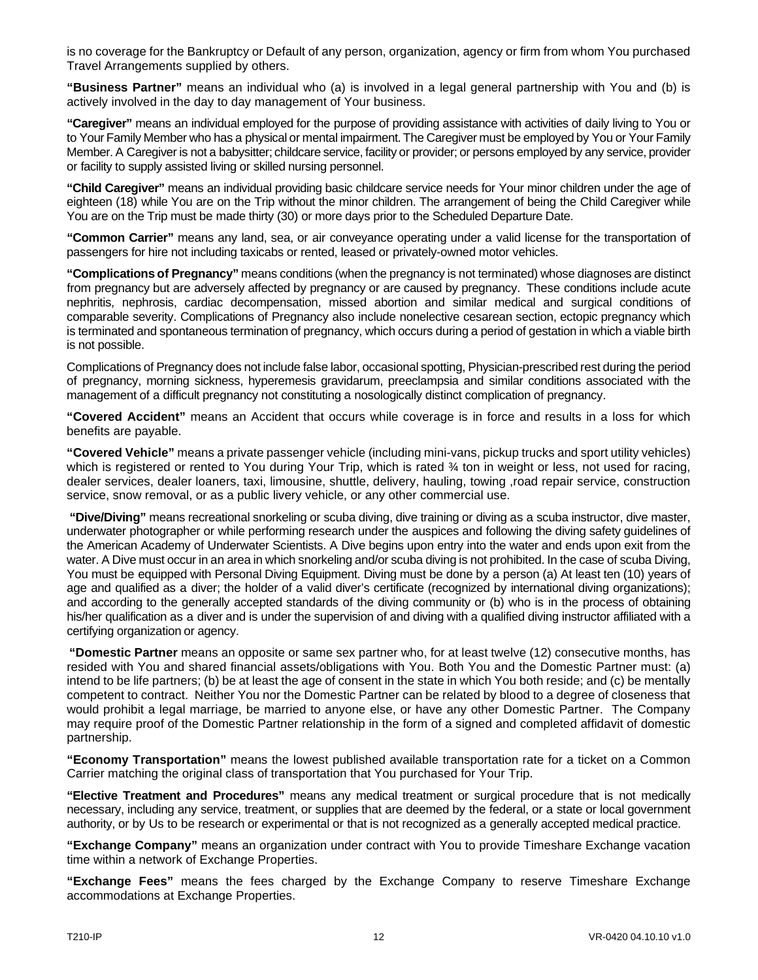is no coverage for the Bankruptcy or Default of any person, organization, agency or firm from whom You purchased Travel Arrangements supplied by others.

**"Business Partner"** means an individual who (a) is involved in a legal general partnership with You and (b) is actively involved in the day to day management of Your business.

**"Caregiver"** means an individual employed for the purpose of providing assistance with activities of daily living to You or to Your Family Member who has a physical or mental impairment. The Caregiver must be employed by You or Your Family Member. A Caregiver is not a babysitter; childcare service, facility or provider; or persons employed by any service, provider or facility to supply assisted living or skilled nursing personnel.

**"Child Caregiver"** means an individual providing basic childcare service needs for Your minor children under the age of eighteen (18) while You are on the Trip without the minor children. The arrangement of being the Child Caregiver while You are on the Trip must be made thirty (30) or more days prior to the Scheduled Departure Date.

**"Common Carrier"** means any land, sea, or air conveyance operating under a valid license for the transportation of passengers for hire not including taxicabs or rented, leased or privately-owned motor vehicles.

**"Complications of Pregnancy"** means conditions (when the pregnancy is not terminated) whose diagnoses are distinct from pregnancy but are adversely affected by pregnancy or are caused by pregnancy. These conditions include acute nephritis, nephrosis, cardiac decompensation, missed abortion and similar medical and surgical conditions of comparable severity. Complications of Pregnancy also include nonelective cesarean section, ectopic pregnancy which is terminated and spontaneous termination of pregnancy, which occurs during a period of gestation in which a viable birth is not possible.

Complications of Pregnancy does not include false labor, occasional spotting, Physician-prescribed rest during the period of pregnancy, morning sickness, hyperemesis gravidarum, preeclampsia and similar conditions associated with the management of a difficult pregnancy not constituting a nosologically distinct complication of pregnancy.

**"Covered Accident"** means an Accident that occurs while coverage is in force and results in a loss for which benefits are payable.

**"Covered Vehicle"** means a private passenger vehicle (including mini-vans, pickup trucks and sport utility vehicles) which is registered or rented to You during Your Trip, which is rated 34 ton in weight or less, not used for racing, dealer services, dealer loaners, taxi, limousine, shuttle, delivery, hauling, towing ,road repair service, construction service, snow removal, or as a public livery vehicle, or any other commercial use.

**"Dive/Diving"** means recreational snorkeling or scuba diving, dive training or diving as a scuba instructor, dive master, underwater photographer or while performing research under the auspices and following the diving safety guidelines of the American Academy of Underwater Scientists. A Dive begins upon entry into the water and ends upon exit from the water. A Dive must occur in an area in which snorkeling and/or scuba diving is not prohibited. In the case of scuba Diving, You must be equipped with Personal Diving Equipment. Diving must be done by a person (a) At least ten (10) years of age and qualified as a diver; the holder of a valid diver's certificate (recognized by international diving organizations); and according to the generally accepted standards of the diving community or (b) who is in the process of obtaining his/her qualification as a diver and is under the supervision of and diving with a qualified diving instructor affiliated with a certifying organization or agency.

**"Domestic Partner** means an opposite or same sex partner who, for at least twelve (12) consecutive months, has resided with You and shared financial assets/obligations with You. Both You and the Domestic Partner must: (a) intend to be life partners; (b) be at least the age of consent in the state in which You both reside; and (c) be mentally competent to contract. Neither You nor the Domestic Partner can be related by blood to a degree of closeness that would prohibit a legal marriage, be married to anyone else, or have any other Domestic Partner. The Company may require proof of the Domestic Partner relationship in the form of a signed and completed affidavit of domestic partnership.

**"Economy Transportation"** means the lowest published available transportation rate for a ticket on a Common Carrier matching the original class of transportation that You purchased for Your Trip.

**"Elective Treatment and Procedures"** means any medical treatment or surgical procedure that is not medically necessary, including any service, treatment, or supplies that are deemed by the federal, or a state or local government authority, or by Us to be research or experimental or that is not recognized as a generally accepted medical practice.

**"Exchange Company"** means an organization under contract with You to provide Timeshare Exchange vacation time within a network of Exchange Properties.

**"Exchange Fees"** means the fees charged by the Exchange Company to reserve Timeshare Exchange accommodations at Exchange Properties.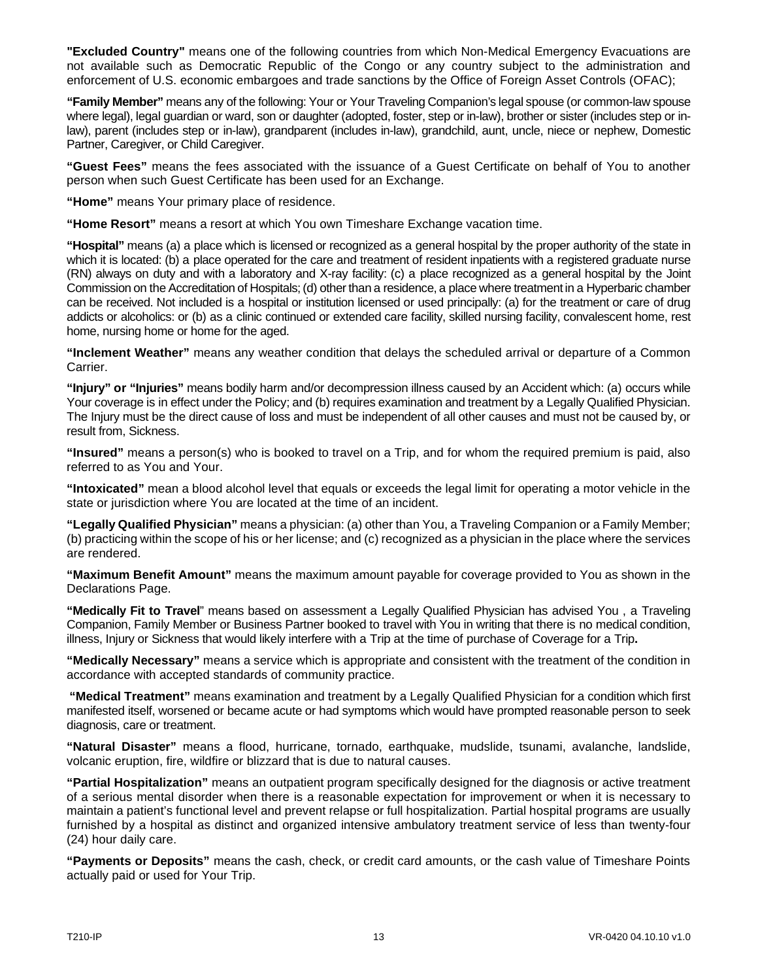**"Excluded Country"** means one of the following countries from which Non-Medical Emergency Evacuations are not available such as Democratic Republic of the Congo or any country subject to the administration and enforcement of U.S. economic embargoes and trade sanctions by the Office of Foreign Asset Controls (OFAC);

**"Family Member"** means any of the following: Your or Your Traveling Companion's legal spouse (or common-law spouse where legal), legal guardian or ward, son or daughter (adopted, foster, step or in-law), brother or sister (includes step or inlaw), parent (includes step or in-law), grandparent (includes in-law), grandchild, aunt, uncle, niece or nephew, Domestic Partner, Caregiver, or Child Caregiver.

**"Guest Fees"** means the fees associated with the issuance of a Guest Certificate on behalf of You to another person when such Guest Certificate has been used for an Exchange.

**"Home"** means Your primary place of residence.

**"Home Resort"** means a resort at which You own Timeshare Exchange vacation time.

**"Hospital"** means (a) a place which is licensed or recognized as a general hospital by the proper authority of the state in which it is located: (b) a place operated for the care and treatment of resident inpatients with a registered graduate nurse (RN) always on duty and with a laboratory and X-ray facility: (c) a place recognized as a general hospital by the Joint Commission on the Accreditation of Hospitals; (d) other than a residence, a place where treatment in a Hyperbaric chamber can be received. Not included is a hospital or institution licensed or used principally: (a) for the treatment or care of drug addicts or alcoholics: or (b) as a clinic continued or extended care facility, skilled nursing facility, convalescent home, rest home, nursing home or home for the aged.

**"Inclement Weather"** means any weather condition that delays the scheduled arrival or departure of a Common Carrier.

**"Injury" or "Injuries"** means bodily harm and/or decompression illness caused by an Accident which: (a) occurs while Your coverage is in effect under the Policy; and (b) requires examination and treatment by a Legally Qualified Physician. The Injury must be the direct cause of loss and must be independent of all other causes and must not be caused by, or result from, Sickness.

**"Insured"** means a person(s) who is booked to travel on a Trip, and for whom the required premium is paid, also referred to as You and Your.

**"Intoxicated"** mean a blood alcohol level that equals or exceeds the legal limit for operating a motor vehicle in the state or jurisdiction where You are located at the time of an incident.

**"Legally Qualified Physician"** means a physician: (a) other than You, a Traveling Companion or a Family Member; (b) practicing within the scope of his or her license; and (c) recognized as a physician in the place where the services are rendered.

**"Maximum Benefit Amount"** means the maximum amount payable for coverage provided to You as shown in the Declarations Page.

**"Medically Fit to Travel**" means based on assessment a Legally Qualified Physician has advised You , a Traveling Companion, Family Member or Business Partner booked to travel with You in writing that there is no medical condition, illness, Injury or Sickness that would likely interfere with a Trip at the time of purchase of Coverage for a Trip**.**

**"Medically Necessary"** means a service which is appropriate and consistent with the treatment of the condition in accordance with accepted standards of community practice.

**"Medical Treatment"** means examination and treatment by a Legally Qualified Physician for a condition which first manifested itself, worsened or became acute or had symptoms which would have prompted reasonable person to seek diagnosis, care or treatment.

**"Natural Disaster"** means a flood, hurricane, tornado, earthquake, mudslide, tsunami, avalanche, landslide, volcanic eruption, fire, wildfire or blizzard that is due to natural causes.

**"Partial Hospitalization"** means an outpatient program specifically designed for the diagnosis or active treatment of a serious mental disorder when there is a reasonable expectation for improvement or when it is necessary to maintain a patient's functional level and prevent relapse or full hospitalization. Partial hospital programs are usually furnished by a hospital as distinct and organized intensive ambulatory treatment service of less than twenty-four (24) hour daily care.

**"Payments or Deposits"** means the cash, check, or credit card amounts, or the cash value of Timeshare Points actually paid or used for Your Trip.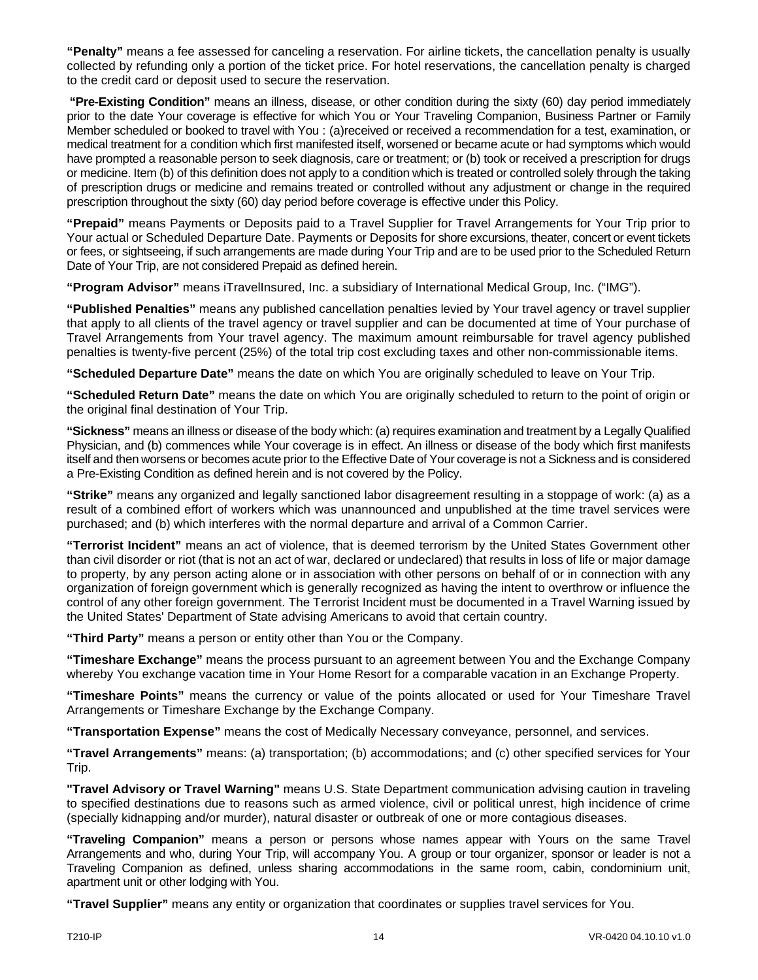**"Penalty"** means a fee assessed for canceling a reservation. For airline tickets, the cancellation penalty is usually collected by refunding only a portion of the ticket price. For hotel reservations, the cancellation penalty is charged to the credit card or deposit used to secure the reservation.

**"Pre-Existing Condition"** means an illness, disease, or other condition during the sixty (60) day period immediately prior to the date Your coverage is effective for which You or Your Traveling Companion, Business Partner or Family Member scheduled or booked to travel with You : (a)received or received a recommendation for a test, examination, or medical treatment for a condition which first manifested itself, worsened or became acute or had symptoms which would have prompted a reasonable person to seek diagnosis, care or treatment; or (b) took or received a prescription for drugs or medicine. Item (b) of this definition does not apply to a condition which is treated or controlled solely through the taking of prescription drugs or medicine and remains treated or controlled without any adjustment or change in the required prescription throughout the sixty (60) day period before coverage is effective under this Policy.

**"Prepaid"** means Payments or Deposits paid to a Travel Supplier for Travel Arrangements for Your Trip prior to Your actual or Scheduled Departure Date. Payments or Deposits for shore excursions, theater, concert or event tickets or fees, or sightseeing, if such arrangements are made during Your Trip and are to be used prior to the Scheduled Return Date of Your Trip, are not considered Prepaid as defined herein.

**"Program Advisor"** means iTravelInsured, Inc. a subsidiary of International Medical Group, Inc. ("IMG").

**"Published Penalties"** means any published cancellation penalties levied by Your travel agency or travel supplier that apply to all clients of the travel agency or travel supplier and can be documented at time of Your purchase of Travel Arrangements from Your travel agency. The maximum amount reimbursable for travel agency published penalties is twenty-five percent (25%) of the total trip cost excluding taxes and other non-commissionable items.

**"Scheduled Departure Date"** means the date on which You are originally scheduled to leave on Your Trip.

**"Scheduled Return Date"** means the date on which You are originally scheduled to return to the point of origin or the original final destination of Your Trip.

**"Sickness"** means an illness or disease of the body which: (a) requires examination and treatment by a Legally Qualified Physician, and (b) commences while Your coverage is in effect. An illness or disease of the body which first manifests itself and then worsens or becomes acute prior to the Effective Date of Your coverage is not a Sickness and is considered a Pre-Existing Condition as defined herein and is not covered by the Policy.

**"Strike"** means any organized and legally sanctioned labor disagreement resulting in a stoppage of work: (a) as a result of a combined effort of workers which was unannounced and unpublished at the time travel services were purchased; and (b) which interferes with the normal departure and arrival of a Common Carrier.

**"Terrorist Incident"** means an act of violence, that is deemed terrorism by the United States Government other than civil disorder or riot (that is not an act of war, declared or undeclared) that results in loss of life or major damage to property, by any person acting alone or in association with other persons on behalf of or in connection with any organization of foreign government which is generally recognized as having the intent to overthrow or influence the control of any other foreign government. The Terrorist Incident must be documented in a Travel Warning issued by the United States' Department of State advising Americans to avoid that certain country.

**"Third Party"** means a person or entity other than You or the Company.

**"Timeshare Exchange"** means the process pursuant to an agreement between You and the Exchange Company whereby You exchange vacation time in Your Home Resort for a comparable vacation in an Exchange Property.

**"Timeshare Points"** means the currency or value of the points allocated or used for Your Timeshare Travel Arrangements or Timeshare Exchange by the Exchange Company.

**"Transportation Expense"** means the cost of Medically Necessary conveyance, personnel, and services.

**"Travel Arrangements"** means: (a) transportation; (b) accommodations; and (c) other specified services for Your Trip.

**"Travel Advisory or Travel Warning"** means U.S. State Department communication advising caution in traveling to specified destinations due to reasons such as armed violence, civil or political unrest, high incidence of crime (specially kidnapping and/or murder), natural disaster or outbreak of one or more contagious diseases.

**"Traveling Companion"** means a person or persons whose names appear with Yours on the same Travel Arrangements and who, during Your Trip, will accompany You. A group or tour organizer, sponsor or leader is not a Traveling Companion as defined, unless sharing accommodations in the same room, cabin, condominium unit, apartment unit or other lodging with You.

**"Travel Supplier"** means any entity or organization that coordinates or supplies travel services for You.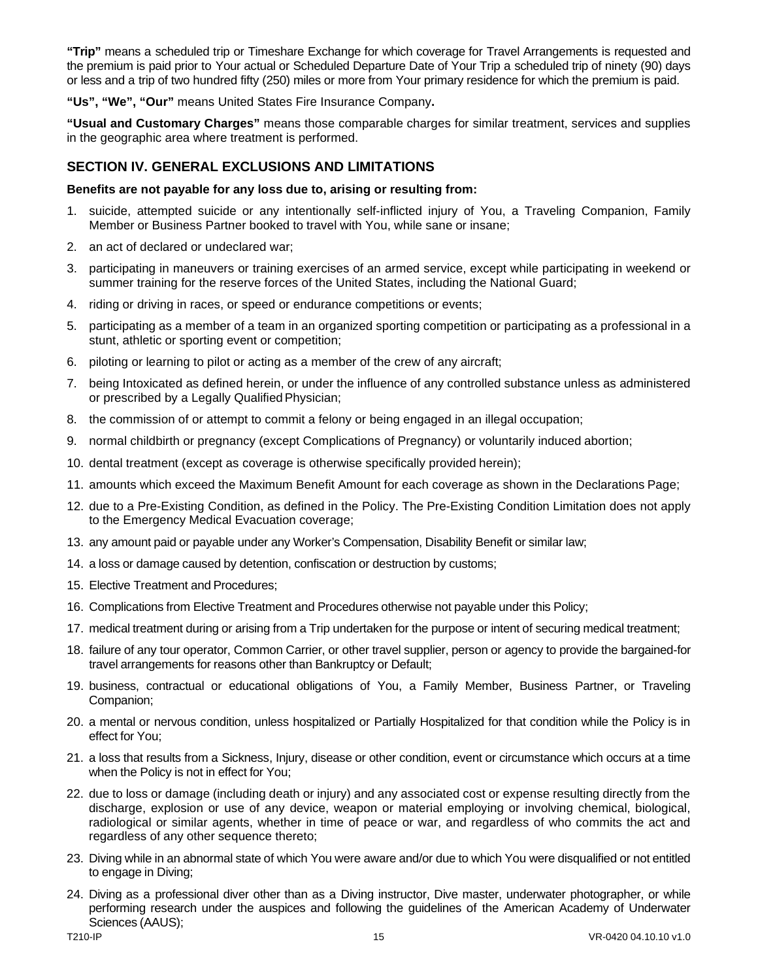**"Trip"** means a scheduled trip or Timeshare Exchange for which coverage for Travel Arrangements is requested and the premium is paid prior to Your actual or Scheduled Departure Date of Your Trip a scheduled trip of ninety (90) days or less and a trip of two hundred fifty (250) miles or more from Your primary residence for which the premium is paid.

**"Us", "We", "Our"** means United States Fire Insurance Company**.**

**"Usual and Customary Charges"** means those comparable charges for similar treatment, services and supplies in the geographic area where treatment is performed.

# <span id="page-15-0"></span>**SECTION IV. GENERAL EXCLUSIONS AND LIMITATIONS**

#### **Benefits are not payable for any loss due to, arising or resulting from:**

- 1. suicide, attempted suicide or any intentionally self-inflicted injury of You, a Traveling Companion, Family Member or Business Partner booked to travel with You, while sane or insane;
- 2. an act of declared or undeclared war;
- 3. participating in maneuvers or training exercises of an armed service, except while participating in weekend or summer training for the reserve forces of the United States, including the National Guard;
- 4. riding or driving in races, or speed or endurance competitions or events;
- 5. participating as a member of a team in an organized sporting competition or participating as a professional in a stunt, athletic or sporting event or competition;
- 6. piloting or learning to pilot or acting as a member of the crew of any aircraft;
- 7. being Intoxicated as defined herein, or under the influence of any controlled substance unless as administered or prescribed by a Legally QualifiedPhysician;
- 8. the commission of or attempt to commit a felony or being engaged in an illegal occupation;
- 9. normal childbirth or pregnancy (except Complications of Pregnancy) or voluntarily induced abortion;
- 10. dental treatment (except as coverage is otherwise specifically provided herein);
- 11. amounts which exceed the Maximum Benefit Amount for each coverage as shown in the Declarations Page;
- 12. due to a Pre-Existing Condition, as defined in the Policy. The Pre-Existing Condition Limitation does not apply to the Emergency Medical Evacuation coverage;
- 13. any amount paid or payable under any Worker's Compensation, Disability Benefit or similar law;
- 14. a loss or damage caused by detention, confiscation or destruction by customs;
- 15. Elective Treatment and Procedures;
- 16. Complications from Elective Treatment and Procedures otherwise not payable under this Policy;
- 17. medical treatment during or arising from a Trip undertaken for the purpose or intent of securing medical treatment;
- 18. failure of any tour operator, Common Carrier, or other travel supplier, person or agency to provide the bargained-for travel arrangements for reasons other than Bankruptcy or Default;
- 19. business, contractual or educational obligations of You, a Family Member, Business Partner, or Traveling Companion;
- 20. a mental or nervous condition, unless hospitalized or Partially Hospitalized for that condition while the Policy is in effect for You;
- 21. a loss that results from a Sickness, Injury, disease or other condition, event or circumstance which occurs at a time when the Policy is not in effect for You;
- 22. due to loss or damage (including death or injury) and any associated cost or expense resulting directly from the discharge, explosion or use of any device, weapon or material employing or involving chemical, biological, radiological or similar agents, whether in time of peace or war, and regardless of who commits the act and regardless of any other sequence thereto;
- 23. Diving while in an abnormal state of which You were aware and/or due to which You were disqualified or not entitled to engage in Diving;
- 24. Diving as a professional diver other than as a Diving instructor, Dive master, underwater photographer, or while performing research under the auspices and following the guidelines of the American Academy of Underwater Sciences (AAUS);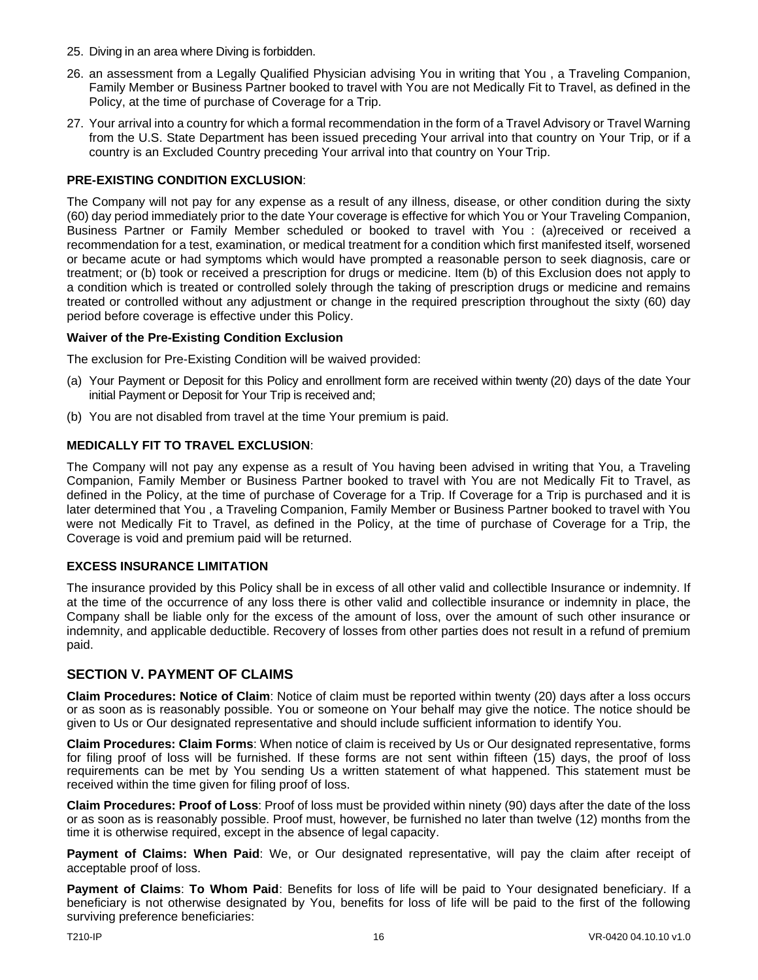- 25. Diving in an area where Diving is forbidden.
- 26. an assessment from a Legally Qualified Physician advising You in writing that You , a Traveling Companion, Family Member or Business Partner booked to travel with You are not Medically Fit to Travel, as defined in the Policy, at the time of purchase of Coverage for a Trip.
- 27. Your arrival into a country for which a formal recommendation in the form of a Travel Advisory or Travel Warning from the U.S. State Department has been issued preceding Your arrival into that country on Your Trip, or if a country is an Excluded Country preceding Your arrival into that country on Your Trip.

### **PRE-EXISTING CONDITION EXCLUSION**:

The Company will not pay for any expense as a result of any illness, disease, or other condition during the sixty (60) day period immediately prior to the date Your coverage is effective for which You or Your Traveling Companion, Business Partner or Family Member scheduled or booked to travel with You : (a)received or received a recommendation for a test, examination, or medical treatment for a condition which first manifested itself, worsened or became acute or had symptoms which would have prompted a reasonable person to seek diagnosis, care or treatment; or (b) took or received a prescription for drugs or medicine. Item (b) of this Exclusion does not apply to a condition which is treated or controlled solely through the taking of prescription drugs or medicine and remains treated or controlled without any adjustment or change in the required prescription throughout the sixty (60) day period before coverage is effective under this Policy.

#### **Waiver of the Pre-Existing Condition Exclusion**

The exclusion for Pre-Existing Condition will be waived provided:

- (a) Your Payment or Deposit for this Policy and enrollment form are received within twenty (20) days of the date Your initial Payment or Deposit for Your Trip is received and;
- (b) You are not disabled from travel at the time Your premium is paid.

#### **MEDICALLY FIT TO TRAVEL EXCLUSION**:

The Company will not pay any expense as a result of You having been advised in writing that You, a Traveling Companion, Family Member or Business Partner booked to travel with You are not Medically Fit to Travel, as defined in the Policy, at the time of purchase of Coverage for a Trip. If Coverage for a Trip is purchased and it is later determined that You , a Traveling Companion, Family Member or Business Partner booked to travel with You were not Medically Fit to Travel, as defined in the Policy, at the time of purchase of Coverage for a Trip, the Coverage is void and premium paid will be returned.

#### **EXCESS INSURANCE LIMITATION**

The insurance provided by this Policy shall be in excess of all other valid and collectible Insurance or indemnity. If at the time of the occurrence of any loss there is other valid and collectible insurance or indemnity in place, the Company shall be liable only for the excess of the amount of loss, over the amount of such other insurance or indemnity, and applicable deductible. Recovery of losses from other parties does not result in a refund of premium paid.

#### <span id="page-16-0"></span>**SECTION V. PAYMENT OF CLAIMS**

**Claim Procedures: Notice of Claim**: Notice of claim must be reported within twenty (20) days after a loss occurs or as soon as is reasonably possible. You or someone on Your behalf may give the notice. The notice should be given to Us or Our designated representative and should include sufficient information to identify You.

**Claim Procedures: Claim Forms**: When notice of claim is received by Us or Our designated representative, forms for filing proof of loss will be furnished. If these forms are not sent within fifteen (15) days, the proof of loss requirements can be met by You sending Us a written statement of what happened. This statement must be received within the time given for filing proof of loss.

**Claim Procedures: Proof of Loss**: Proof of loss must be provided within ninety (90) days after the date of the loss or as soon as is reasonably possible. Proof must, however, be furnished no later than twelve (12) months from the time it is otherwise required, except in the absence of legal capacity.

**Payment of Claims: When Paid**: We, or Our designated representative, will pay the claim after receipt of acceptable proof of loss.

**Payment of Claims**: **To Whom Paid**: Benefits for loss of life will be paid to Your designated beneficiary. If a beneficiary is not otherwise designated by You, benefits for loss of life will be paid to the first of the following surviving preference beneficiaries: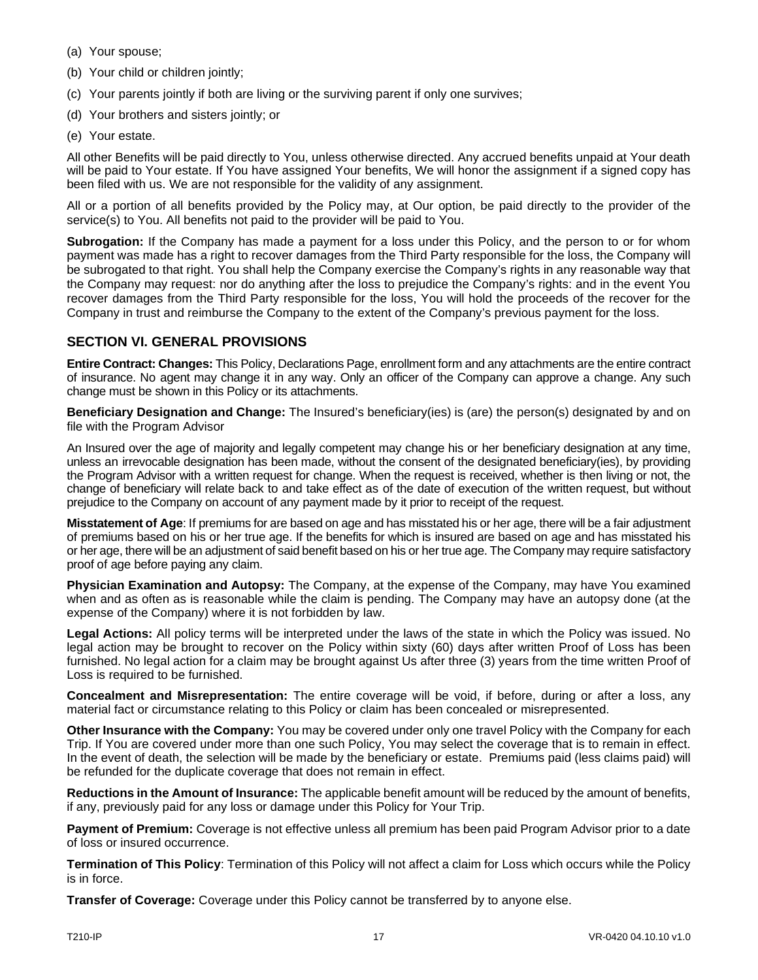- (a) Your spouse;
- (b) Your child or children jointly;
- (c) Your parents jointly if both are living or the surviving parent if only one survives;
- (d) Your brothers and sisters jointly; or
- (e) Your estate.

All other Benefits will be paid directly to You, unless otherwise directed. Any accrued benefits unpaid at Your death will be paid to Your estate. If You have assigned Your benefits, We will honor the assignment if a signed copy has been filed with us. We are not responsible for the validity of any assignment.

All or a portion of all benefits provided by the Policy may, at Our option, be paid directly to the provider of the service(s) to You. All benefits not paid to the provider will be paid to You.

**Subrogation:** If the Company has made a payment for a loss under this Policy, and the person to or for whom payment was made has a right to recover damages from the Third Party responsible for the loss, the Company will be subrogated to that right. You shall help the Company exercise the Company's rights in any reasonable way that the Company may request: nor do anything after the loss to prejudice the Company's rights: and in the event You recover damages from the Third Party responsible for the loss, You will hold the proceeds of the recover for the Company in trust and reimburse the Company to the extent of the Company's previous payment for the loss.

# **SECTION VI. GENERAL PROVISIONS**

**Entire Contract: Changes:** This Policy, Declarations Page, enrollment form and any attachments are the entire contract of insurance. No agent may change it in any way. Only an officer of the Company can approve a change. Any such change must be shown in this Policy or its attachments.

**Beneficiary Designation and Change:** The Insured's beneficiary(ies) is (are) the person(s) designated by and on file with the Program Advisor

An Insured over the age of majority and legally competent may change his or her beneficiary designation at any time, unless an irrevocable designation has been made, without the consent of the designated beneficiary(ies), by providing the Program Advisor with a written request for change. When the request is received, whether is then living or not, the change of beneficiary will relate back to and take effect as of the date of execution of the written request, but without prejudice to the Company on account of any payment made by it prior to receipt of the request.

**Misstatement of Age**: If premiums for are based on age and has misstated his or her age, there will be a fair adjustment of premiums based on his or her true age. If the benefits for which is insured are based on age and has misstated his or her age, there will be an adjustment of said benefit based on his or her true age. The Company may require satisfactory proof of age before paying any claim.

**Physician Examination and Autopsy:** The Company, at the expense of the Company, may have You examined when and as often as is reasonable while the claim is pending. The Company may have an autopsy done (at the expense of the Company) where it is not forbidden by law.

**Legal Actions:** All policy terms will be interpreted under the laws of the state in which the Policy was issued. No legal action may be brought to recover on the Policy within sixty (60) days after written Proof of Loss has been furnished. No legal action for a claim may be brought against Us after three (3) years from the time written Proof of Loss is required to be furnished.

**Concealment and Misrepresentation:** The entire coverage will be void, if before, during or after a loss, any material fact or circumstance relating to this Policy or claim has been concealed or misrepresented.

**Other Insurance with the Company:** You may be covered under only one travel Policy with the Company for each Trip. If You are covered under more than one such Policy, You may select the coverage that is to remain in effect. In the event of death, the selection will be made by the beneficiary or estate. Premiums paid (less claims paid) will be refunded for the duplicate coverage that does not remain in effect.

**Reductions in the Amount of Insurance:** The applicable benefit amount will be reduced by the amount of benefits, if any, previously paid for any loss or damage under this Policy for Your Trip.

**Payment of Premium:** Coverage is not effective unless all premium has been paid Program Advisor prior to a date of loss or insured occurrence.

**Termination of This Policy**: Termination of this Policy will not affect a claim for Loss which occurs while the Policy is in force.

**Transfer of Coverage:** Coverage under this Policy cannot be transferred by to anyone else.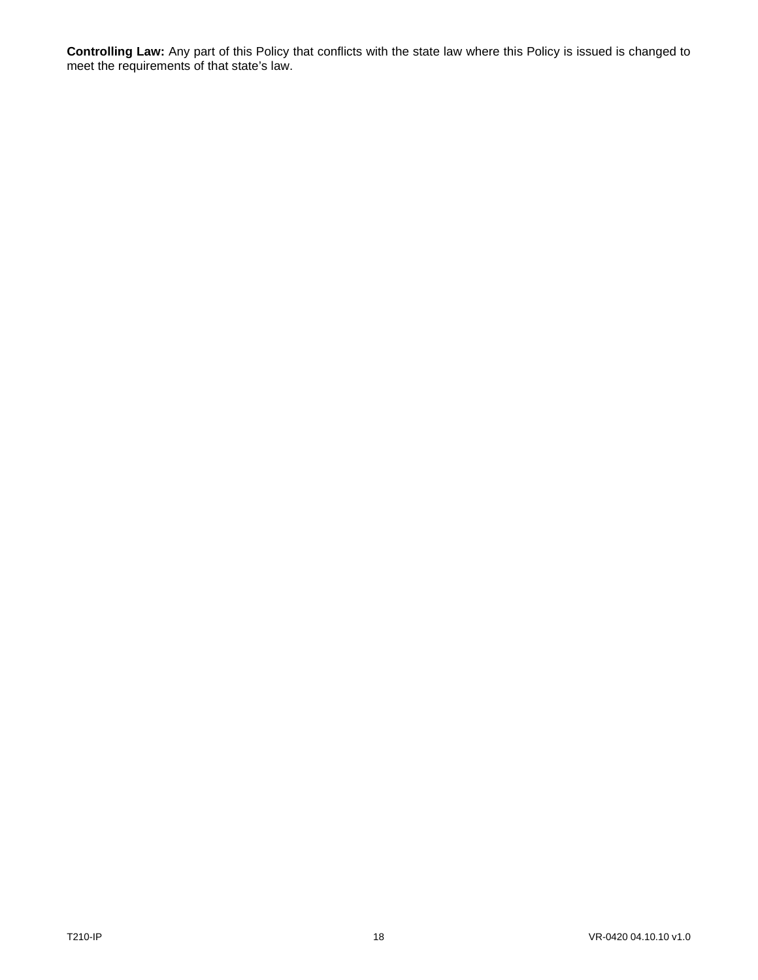**Controlling Law:** Any part of this Policy that conflicts with the state law where this Policy is issued is changed to meet the requirements of that state's law.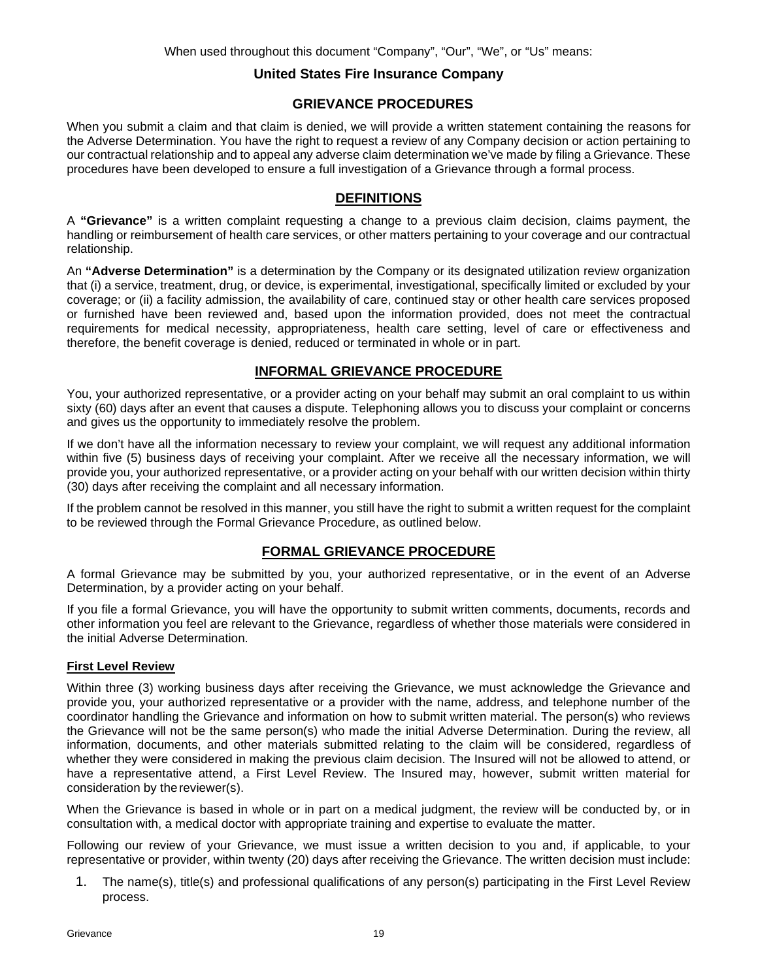# **United States Fire Insurance Company**

# **GRIEVANCE PROCEDURES**

<span id="page-19-0"></span>When you submit a claim and that claim is denied, we will provide a written statement containing the reasons for the Adverse Determination. You have the right to request a review of any Company decision or action pertaining to our contractual relationship and to appeal any adverse claim determination we've made by filing a Grievance. These procedures have been developed to ensure a full investigation of a Grievance through a formal process.

# **DEFINITIONS**

A **"Grievance"** is a written complaint requesting a change to a previous claim decision, claims payment, the handling or reimbursement of health care services, or other matters pertaining to your coverage and our contractual relationship.

An **"Adverse Determination"** is a determination by the Company or its designated utilization review organization that (i) a service, treatment, drug, or device, is experimental, investigational, specifically limited or excluded by your coverage; or (ii) a facility admission, the availability of care, continued stay or other health care services proposed or furnished have been reviewed and, based upon the information provided, does not meet the contractual requirements for medical necessity, appropriateness, health care setting, level of care or effectiveness and therefore, the benefit coverage is denied, reduced or terminated in whole or in part.

# **INFORMAL GRIEVANCE PROCEDURE**

You, your authorized representative, or a provider acting on your behalf may submit an oral complaint to us within sixty (60) days after an event that causes a dispute. Telephoning allows you to discuss your complaint or concerns and gives us the opportunity to immediately resolve the problem.

If we don't have all the information necessary to review your complaint, we will request any additional information within five (5) business days of receiving your complaint. After we receive all the necessary information, we will provide you, your authorized representative, or a provider acting on your behalf with our written decision within thirty (30) days after receiving the complaint and all necessary information.

If the problem cannot be resolved in this manner, you still have the right to submit a written request for the complaint to be reviewed through the Formal Grievance Procedure, as outlined below.

# **FORMAL GRIEVANCE PROCEDURE**

A formal Grievance may be submitted by you, your authorized representative, or in the event of an Adverse Determination, by a provider acting on your behalf.

If you file a formal Grievance, you will have the opportunity to submit written comments, documents, records and other information you feel are relevant to the Grievance, regardless of whether those materials were considered in the initial Adverse Determination.

### **First Level Review**

Within three (3) working business days after receiving the Grievance, we must acknowledge the Grievance and provide you, your authorized representative or a provider with the name, address, and telephone number of the coordinator handling the Grievance and information on how to submit written material. The person(s) who reviews the Grievance will not be the same person(s) who made the initial Adverse Determination. During the review, all information, documents, and other materials submitted relating to the claim will be considered, regardless of whether they were considered in making the previous claim decision. The Insured will not be allowed to attend, or have a representative attend, a First Level Review. The Insured may, however, submit written material for consideration by thereviewer(s).

When the Grievance is based in whole or in part on a medical judgment, the review will be conducted by, or in consultation with, a medical doctor with appropriate training and expertise to evaluate the matter.

Following our review of your Grievance, we must issue a written decision to you and, if applicable, to your representative or provider, within twenty (20) days after receiving the Grievance. The written decision must include:

1. The name(s), title(s) and professional qualifications of any person(s) participating in the First Level Review process.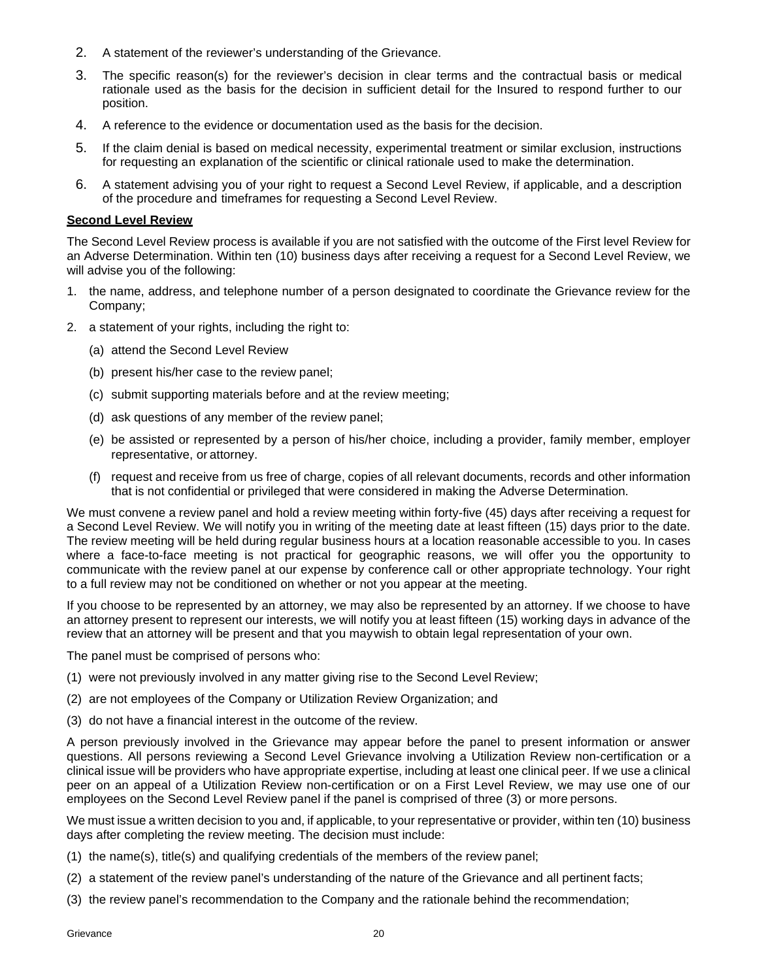- 2. A statement of the reviewer's understanding of the Grievance.
- 3. The specific reason(s) for the reviewer's decision in clear terms and the contractual basis or medical rationale used as the basis for the decision in sufficient detail for the Insured to respond further to our position.
- 4. A reference to the evidence or documentation used as the basis for the decision.
- 5. If the claim denial is based on medical necessity, experimental treatment or similar exclusion, instructions for requesting an explanation of the scientific or clinical rationale used to make the determination.
- 6. A statement advising you of your right to request a Second Level Review, if applicable, and a description of the procedure and timeframes for requesting a Second Level Review.

#### **Second Level Review**

The Second Level Review process is available if you are not satisfied with the outcome of the First level Review for an Adverse Determination. Within ten (10) business days after receiving a request for a Second Level Review, we will advise you of the following:

- 1. the name, address, and telephone number of a person designated to coordinate the Grievance review for the Company;
- 2. a statement of your rights, including the right to:
	- (a) attend the Second Level Review
	- (b) present his/her case to the review panel;
	- (c) submit supporting materials before and at the review meeting;
	- (d) ask questions of any member of the review panel;
	- (e) be assisted or represented by a person of his/her choice, including a provider, family member, employer representative, or attorney.
	- (f) request and receive from us free of charge, copies of all relevant documents, records and other information that is not confidential or privileged that were considered in making the Adverse Determination.

We must convene a review panel and hold a review meeting within forty-five (45) days after receiving a request for a Second Level Review. We will notify you in writing of the meeting date at least fifteen (15) days prior to the date. The review meeting will be held during regular business hours at a location reasonable accessible to you. In cases where a face-to-face meeting is not practical for geographic reasons, we will offer you the opportunity to communicate with the review panel at our expense by conference call or other appropriate technology. Your right to a full review may not be conditioned on whether or not you appear at the meeting.

If you choose to be represented by an attorney, we may also be represented by an attorney. If we choose to have an attorney present to represent our interests, we will notify you at least fifteen (15) working days in advance of the review that an attorney will be present and that you maywish to obtain legal representation of your own.

The panel must be comprised of persons who:

- (1) were not previously involved in any matter giving rise to the Second Level Review;
- (2) are not employees of the Company or Utilization Review Organization; and
- (3) do not have a financial interest in the outcome of the review.

A person previously involved in the Grievance may appear before the panel to present information or answer questions. All persons reviewing a Second Level Grievance involving a Utilization Review non-certification or a clinical issue will be providers who have appropriate expertise, including at least one clinical peer. If we use a clinical peer on an appeal of a Utilization Review non-certification or on a First Level Review, we may use one of our employees on the Second Level Review panel if the panel is comprised of three (3) or more persons.

We must issue a written decision to you and, if applicable, to your representative or provider, within ten (10) business days after completing the review meeting. The decision must include:

- (1) the name(s), title(s) and qualifying credentials of the members of the review panel;
- (2) a statement of the review panel's understanding of the nature of the Grievance and all pertinent facts;
- (3) the review panel's recommendation to the Company and the rationale behind the recommendation;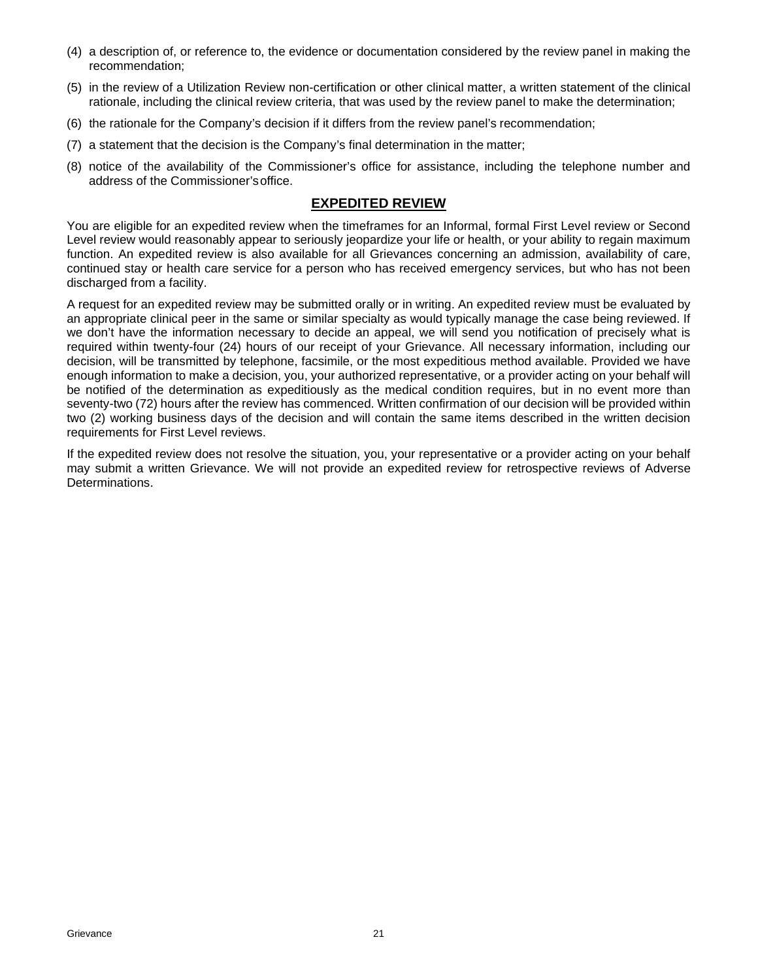- (4) a description of, or reference to, the evidence or documentation considered by the review panel in making the recommendation;
- (5) in the review of a Utilization Review non-certification or other clinical matter, a written statement of the clinical rationale, including the clinical review criteria, that was used by the review panel to make the determination;
- (6) the rationale for the Company's decision if it differs from the review panel's recommendation;
- (7) a statement that the decision is the Company's final determination in the matter;
- (8) notice of the availability of the Commissioner's office for assistance, including the telephone number and address of the Commissioner'soffice.

## **EXPEDITED REVIEW**

You are eligible for an expedited review when the timeframes for an Informal, formal First Level review or Second Level review would reasonably appear to seriously jeopardize your life or health, or your ability to regain maximum function. An expedited review is also available for all Grievances concerning an admission, availability of care, continued stay or health care service for a person who has received emergency services, but who has not been discharged from a facility.

A request for an expedited review may be submitted orally or in writing. An expedited review must be evaluated by an appropriate clinical peer in the same or similar specialty as would typically manage the case being reviewed. If we don't have the information necessary to decide an appeal, we will send you notification of precisely what is required within twenty-four (24) hours of our receipt of your Grievance. All necessary information, including our decision, will be transmitted by telephone, facsimile, or the most expeditious method available. Provided we have enough information to make a decision, you, your authorized representative, or a provider acting on your behalf will be notified of the determination as expeditiously as the medical condition requires, but in no event more than seventy-two (72) hours after the review has commenced. Written confirmation of our decision will be provided within two (2) working business days of the decision and will contain the same items described in the written decision requirements for First Level reviews.

If the expedited review does not resolve the situation, you, your representative or a provider acting on your behalf may submit a written Grievance. We will not provide an expedited review for retrospective reviews of Adverse Determinations.